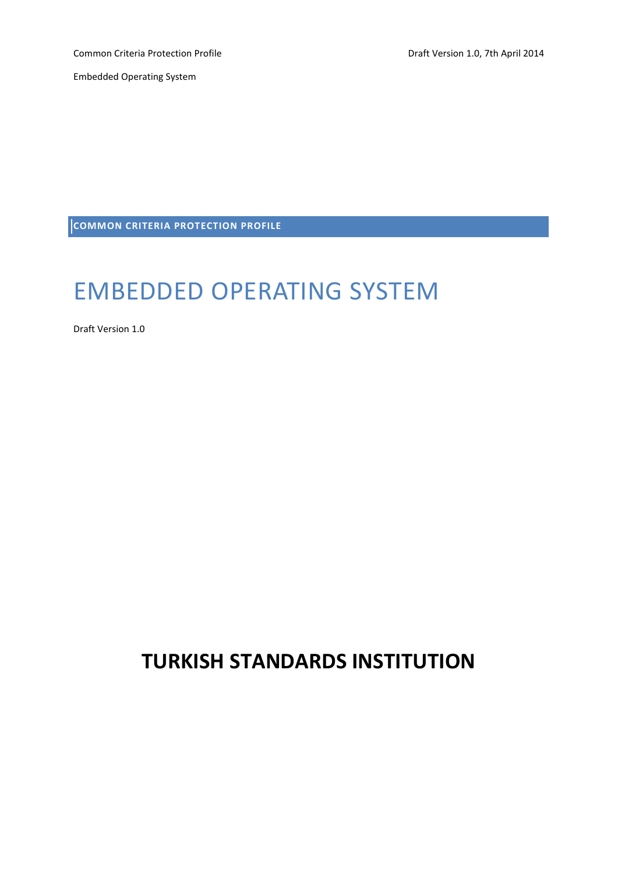Common Criteria Protection Profile **Common Criteria Protection Profile** According Draft Version 1.0, 7th April 2014

Embedded Operating System

**COMMON CRITERIA PROTECTION PROFILE**

# EMBEDDED OPERATING SYSTEM

Draft Version 1.0

# **TURKISH STANDARDS INSTITUTION**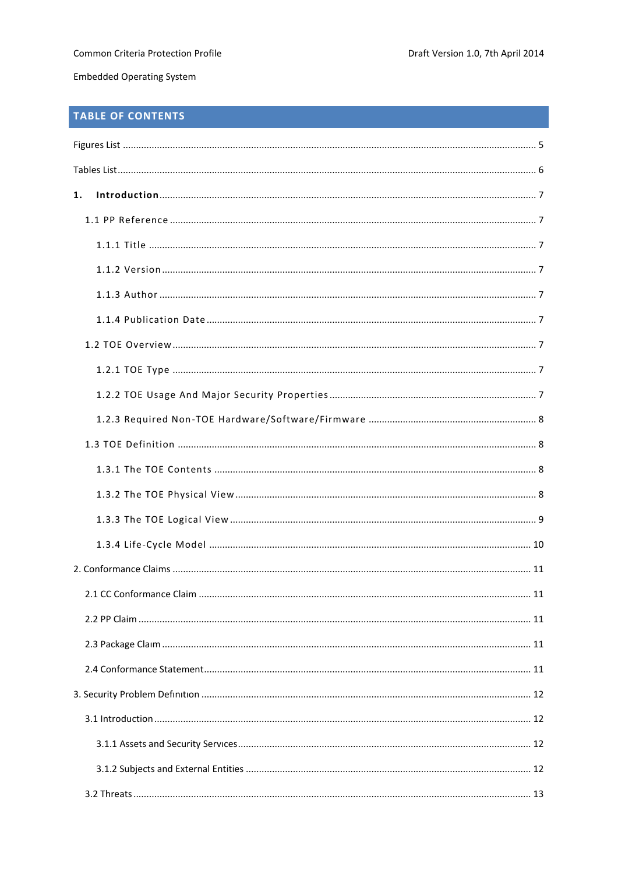# TABLE OF CONTENTS

| 1. |  |
|----|--|
|    |  |
|    |  |
|    |  |
|    |  |
|    |  |
|    |  |
|    |  |
|    |  |
|    |  |
|    |  |
|    |  |
|    |  |
|    |  |
|    |  |
|    |  |
|    |  |
|    |  |
|    |  |
|    |  |
|    |  |
|    |  |
|    |  |
|    |  |
|    |  |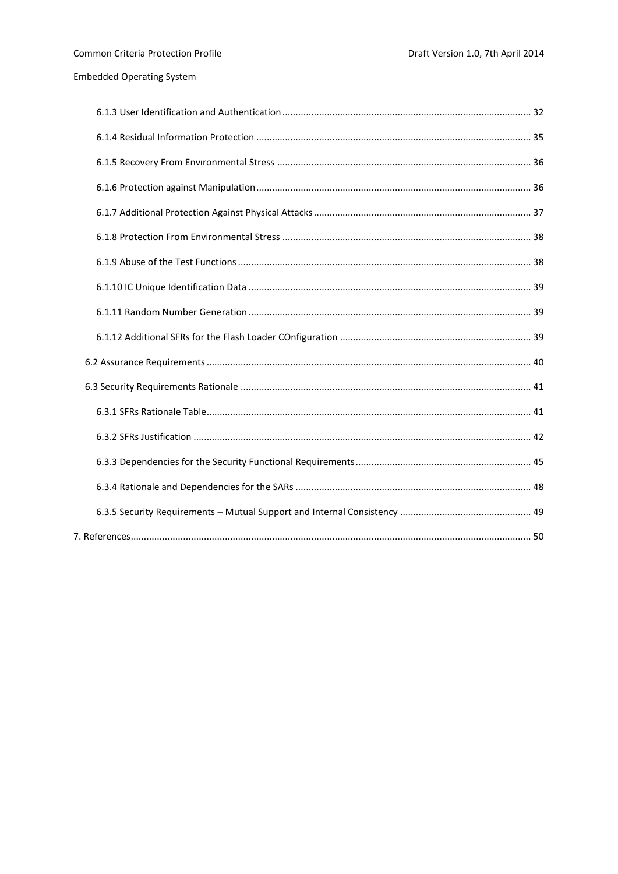$\overline{7}$ .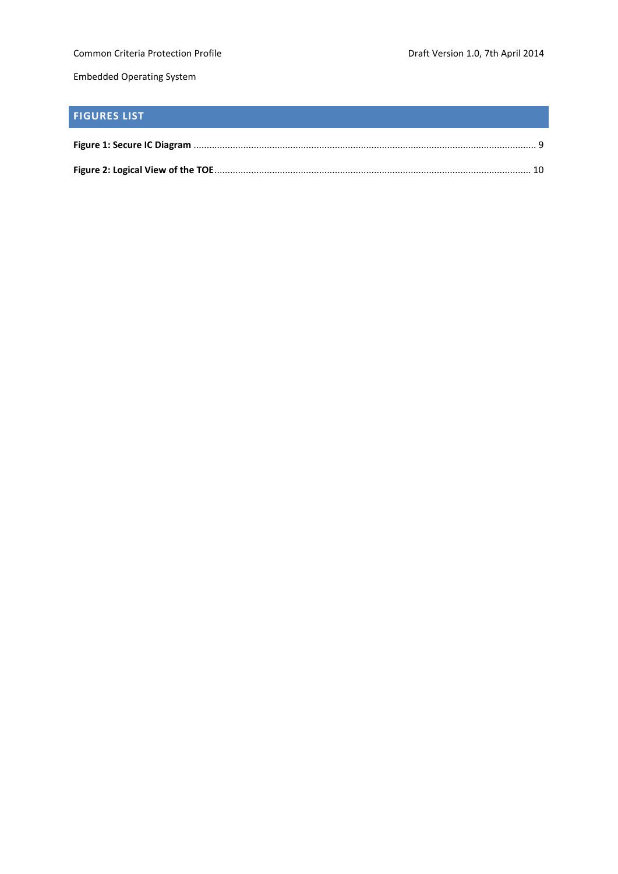Common Criteria Protection Profile **Common Criteria Protection Profile** Draft Version 1.0, 7th April 2014

Embedded Operating System

# <span id="page-4-0"></span>**FIGURES LIST**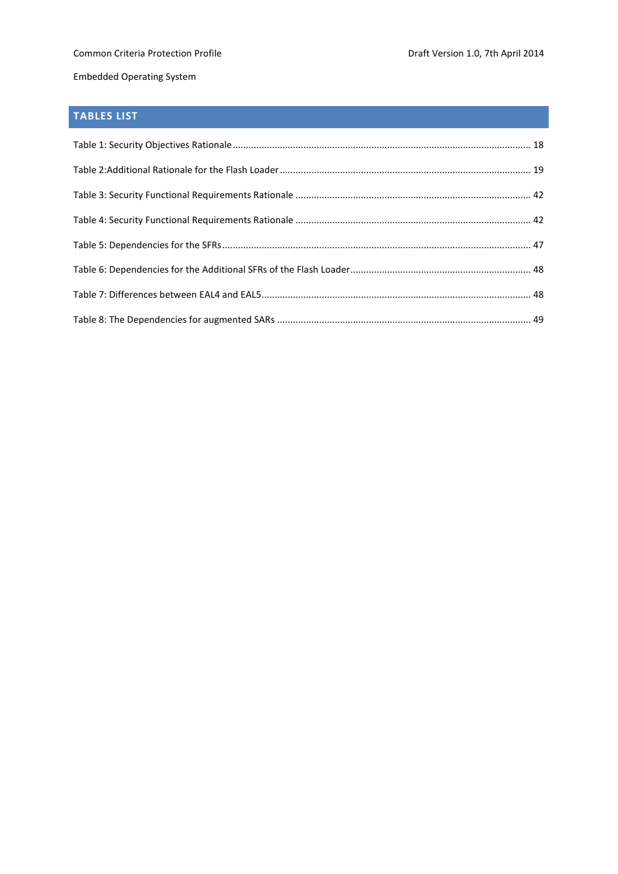## <span id="page-5-0"></span>**TABLES LIST**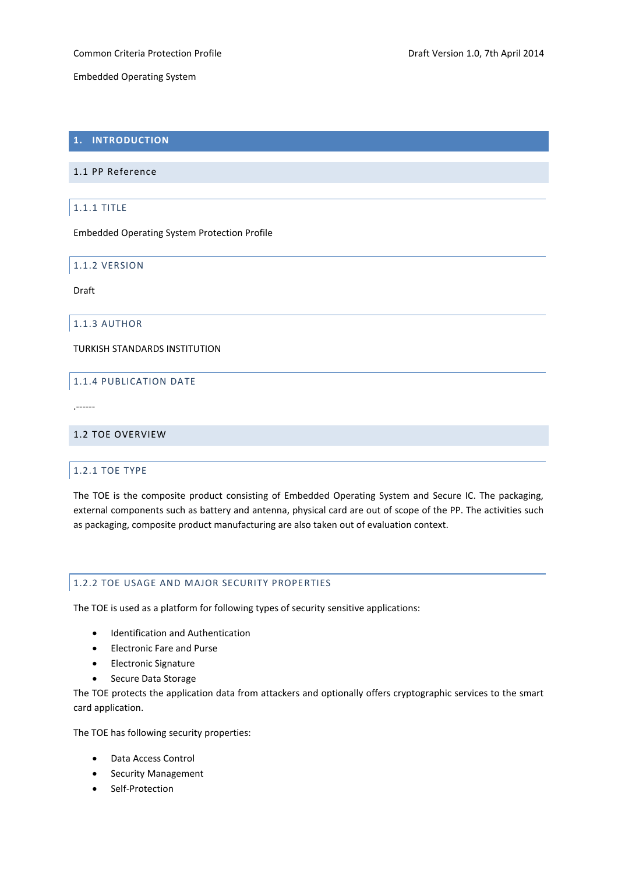## <span id="page-6-0"></span>**1. INTRODUCTION**

## <span id="page-6-2"></span><span id="page-6-1"></span>1.1 PP Reference

#### 1.1.1 TITLE

Embedded Operating System Protection Profile

<span id="page-6-3"></span>1.1.2 VERSION

Draft

## <span id="page-6-4"></span>1.1.3 AUTHOR

<span id="page-6-5"></span>TURKISH STANDARDS INSTITUTION

## 1.1.4 PUBLICATION DATE

.------

## <span id="page-6-7"></span><span id="page-6-6"></span>1.2 TOE OVERVIEW

## 1.2.1 TOE TYPE

The TOE is the composite product consisting of Embedded Operating System and Secure IC. The packaging, external components such as battery and antenna, physical card are out of scope of the PP. The activities such as packaging, composite product manufacturing are also taken out of evaluation context.

## <span id="page-6-8"></span>1.2.2 TOE USAGE AND MAJOR SECURITY PROPERTIES

The TOE is used as a platform for following types of security sensitive applications:

- Identification and Authentication
- Electronic Fare and Purse
- **•** Electronic Signature
- Secure Data Storage

The TOE protects the application data from attackers and optionally offers cryptographic services to the smart card application.

The TOE has following security properties:

- Data Access Control
- Security Management
- Self-Protection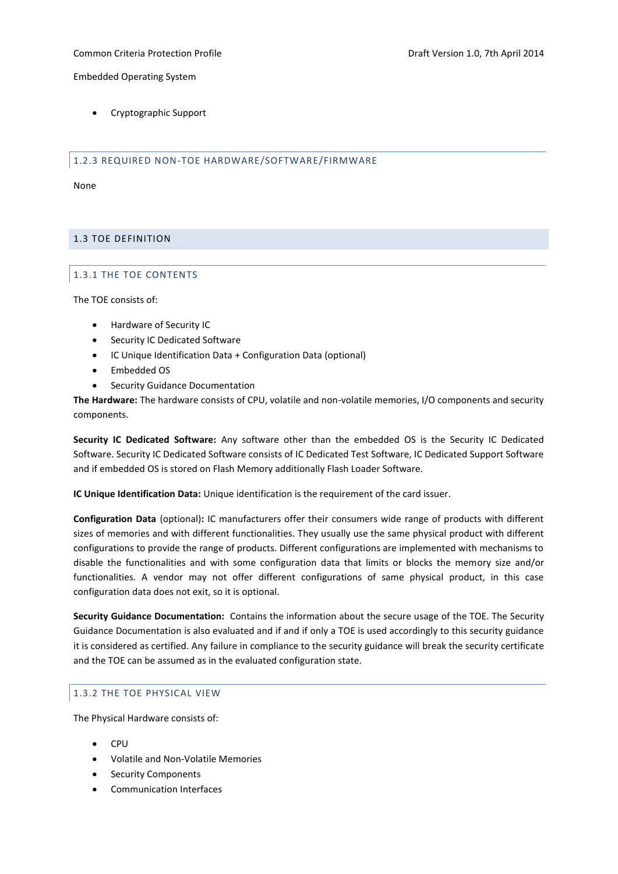Common Criteria Protection Profile Draft Version 1.0, 7th April 2014

Embedded Operating System

Cryptographic Support

<span id="page-7-0"></span>1.2.3 REQUIRED NON-TOE HARDWARE/SOFTWARE/FIRMWARE

None

## <span id="page-7-2"></span><span id="page-7-1"></span>1.3 TOE DEFINITION

## 1.3.1 THE TOE CONTENTS

The TOE consists of:

- Hardware of Security IC
- Security IC Dedicated Software
- IC Unique Identification Data + Configuration Data (optional)
- Embedded OS
- Security Guidance Documentation

**The Hardware:** The hardware consists of CPU, volatile and non-volatile memories, I/O components and security components.

**Security IC Dedicated Software:** Any software other than the embedded OS is the Security IC Dedicated Software. Security IC Dedicated Software consists of IC Dedicated Test Software, IC Dedicated Support Software and if embedded OS is stored on Flash Memory additionally Flash Loader Software.

**IC Unique Identification Data:** Unique identification is the requirement of the card issuer.

**Configuration Data** (optional)**:** IC manufacturers offer their consumers wide range of products with different sizes of memories and with different functionalities. They usually use the same physical product with different configurations to provide the range of products. Different configurations are implemented with mechanisms to disable the functionalities and with some configuration data that limits or blocks the memory size and/or functionalities. A vendor may not offer different configurations of same physical product, in this case configuration data does not exit, so it is optional.

**Security Guidance Documentation:** Contains the information about the secure usage of the TOE. The Security Guidance Documentation is also evaluated and if and if only a TOE is used accordingly to this security guidance it is considered as certified. Any failure in compliance to the security guidance will break the security certificate and the TOE can be assumed as in the evaluated configuration state.

## <span id="page-7-3"></span>1.3.2 THE TOE PHYSICAL VIEW

The Physical Hardware consists of:

- **CPU**
- Volatile and Non-Volatile Memories
- Security Components
- Communication Interfaces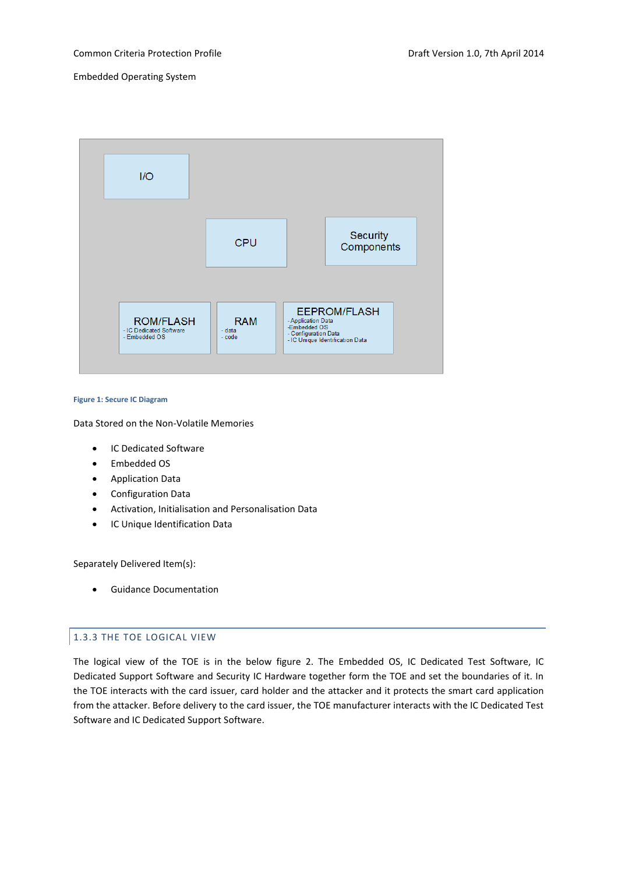

#### <span id="page-8-1"></span>**Figure 1: Secure IC Diagram**

Data Stored on the Non-Volatile Memories

- IC Dedicated Software
- Fmbedded OS
- Application Data
- Configuration Data
- Activation, Initialisation and Personalisation Data
- IC Unique Identification Data

Separately Delivered Item(s):

Guidance Documentation

#### <span id="page-8-0"></span>1.3.3 THE TOE LOGICAL VIEW

The logical view of the TOE is in the below figure 2. The Embedded OS, IC Dedicated Test Software, IC Dedicated Support Software and Security IC Hardware together form the TOE and set the boundaries of it. In the TOE interacts with the card issuer, card holder and the attacker and it protects the smart card application from the attacker. Before delivery to the card issuer, the TOE manufacturer interacts with the IC Dedicated Test Software and IC Dedicated Support Software.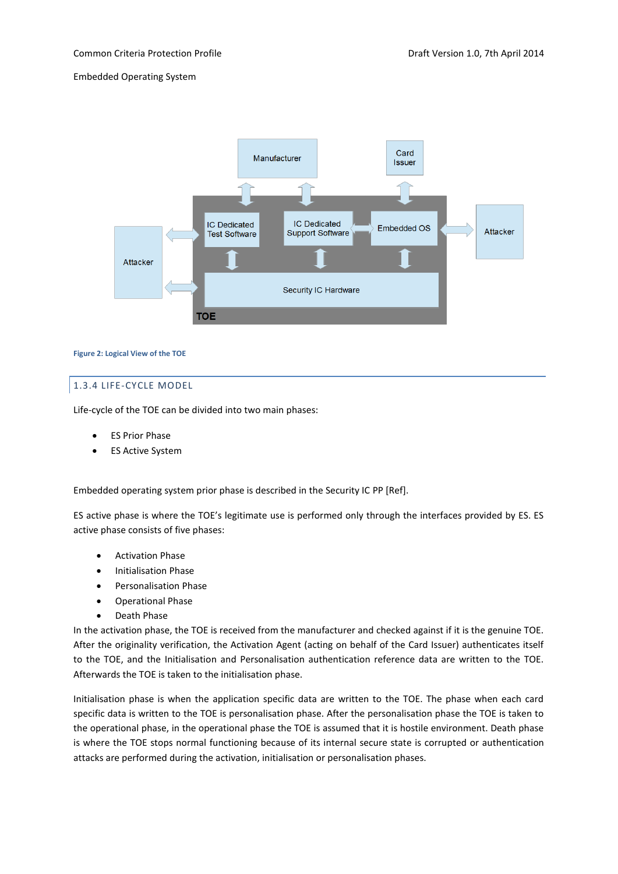

#### <span id="page-9-1"></span>**Figure 2: Logical View of the TOE**

## <span id="page-9-0"></span>1.3.4 LIFE-CYCLE MODEL

Life-cycle of the TOE can be divided into two main phases:

- ES Prior Phase
- ES Active System

Embedded operating system prior phase is described in the Security IC PP [Ref].

ES active phase is where the TOE's legitimate use is performed only through the interfaces provided by ES. ES active phase consists of five phases:

- Activation Phase
- Initialisation Phase
- Personalisation Phase
- Operational Phase
- Death Phase

In the activation phase, the TOE is received from the manufacturer and checked against if it is the genuine TOE. After the originality verification, the Activation Agent (acting on behalf of the Card Issuer) authenticates itself to the TOE, and the Initialisation and Personalisation authentication reference data are written to the TOE. Afterwards the TOE is taken to the initialisation phase.

Initialisation phase is when the application specific data are written to the TOE. The phase when each card specific data is written to the TOE is personalisation phase. After the personalisation phase the TOE is taken to the operational phase, in the operational phase the TOE is assumed that it is hostile environment. Death phase is where the TOE stops normal functioning because of its internal secure state is corrupted or authentication attacks are performed during the activation, initialisation or personalisation phases.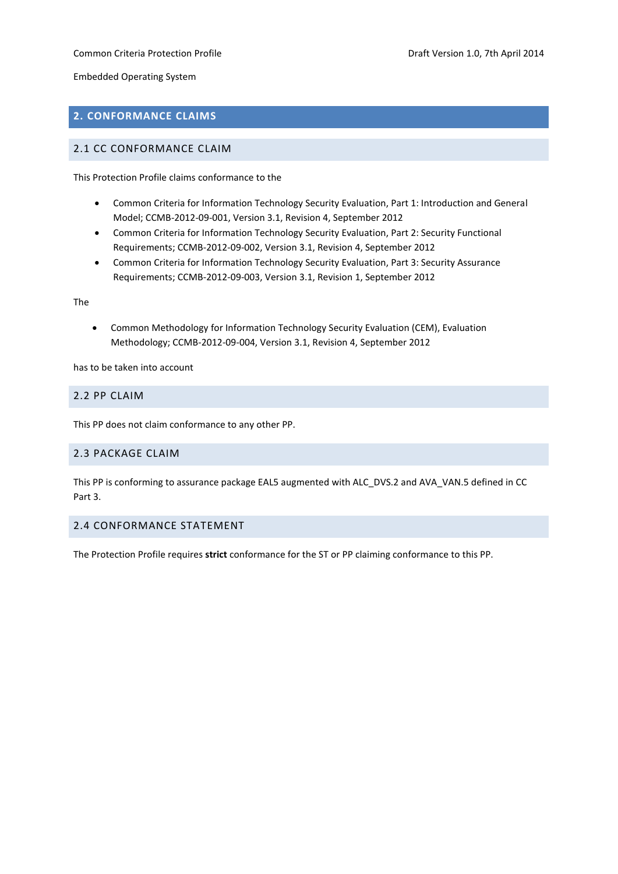## Common Criteria Protection Profile **Common Criteria Professor According Profile** Draft Version 1.0, 7th April 2014

Embedded Operating System

## <span id="page-10-0"></span>**2. CONFORMANCE CLAIMS**

## <span id="page-10-1"></span>2.1 CC CONFORMANCE CLAIM

This Protection Profile claims conformance to the

- Common Criteria for Information Technology Security Evaluation, Part 1: Introduction and General Model; CCMB-2012-09-001, Version 3.1, Revision 4, September 2012
- Common Criteria for Information Technology Security Evaluation, Part 2: Security Functional Requirements; CCMB-2012-09-002, Version 3.1, Revision 4, September 2012
- Common Criteria for Information Technology Security Evaluation, Part 3: Security Assurance Requirements; CCMB-2012-09-003, Version 3.1, Revision 1, September 2012

The

 Common Methodology for Information Technology Security Evaluation (CEM), Evaluation Methodology; CCMB-2012-09-004, Version 3.1, Revision 4, September 2012

has to be taken into account

## <span id="page-10-2"></span>2.2 PP CLAIM

This PP does not claim conformance to any other PP.

## <span id="page-10-3"></span>2.3 PACKAGE CLAIM

This PP is conforming to assurance package EAL5 augmented with ALC\_DVS.2 and AVA\_VAN.5 defined in CC Part 3.

## <span id="page-10-4"></span>2.4 CONFORMANCE STATEMENT

The Protection Profile requires **strict** conformance for the ST or PP claiming conformance to this PP.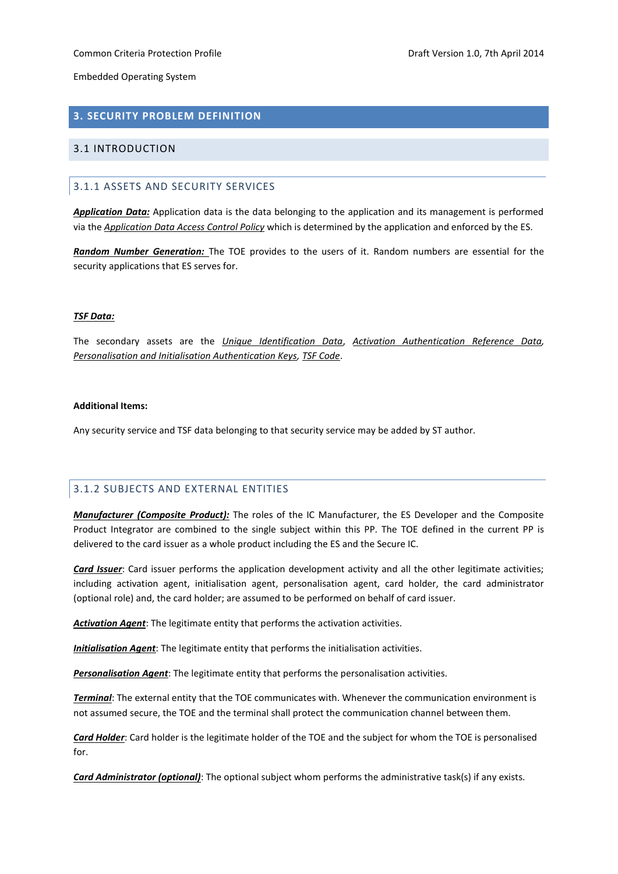## <span id="page-11-0"></span>**3. SECURITY PROBLEM DEFINITION**

## <span id="page-11-2"></span><span id="page-11-1"></span>3.1 INTRODUCTION

## 3.1.1 ASSETS AND SECURITY SERVICES

*Application Data:* Application data is the data belonging to the application and its management is performed via the *Application Data Access Control Policy* which is determined by the application and enforced by the ES.

*Random Number Generation:* The TOE provides to the users of it. Random numbers are essential for the security applications that ES serves for.

#### *TSF Data:*

The secondary assets are the *Unique Identification Data*, *Activation Authentication Reference Data, Personalisation and Initialisation Authentication Keys, TSF Code*.

## **Additional Items:**

Any security service and TSF data belonging to that security service may be added by ST author.

## <span id="page-11-3"></span>3.1.2 SUBJECTS AND EXTERNAL ENTITIES

*Manufacturer (Composite Product):* The roles of the IC Manufacturer, the ES Developer and the Composite Product Integrator are combined to the single subject within this PP. The TOE defined in the current PP is delivered to the card issuer as a whole product including the ES and the Secure IC.

*Card Issuer*: Card issuer performs the application development activity and all the other legitimate activities; including activation agent, initialisation agent, personalisation agent, card holder, the card administrator (optional role) and, the card holder; are assumed to be performed on behalf of card issuer.

*Activation Agent*: The legitimate entity that performs the activation activities.

*Initialisation Agent*: The legitimate entity that performs the initialisation activities.

*Personalisation Agent*: The legitimate entity that performs the personalisation activities.

*Terminal*: The external entity that the TOE communicates with. Whenever the communication environment is not assumed secure, the TOE and the terminal shall protect the communication channel between them.

*Card Holder*: Card holder is the legitimate holder of the TOE and the subject for whom the TOE is personalised for.

*Card Administrator (optional)*: The optional subject whom performs the administrative task(s) if any exists.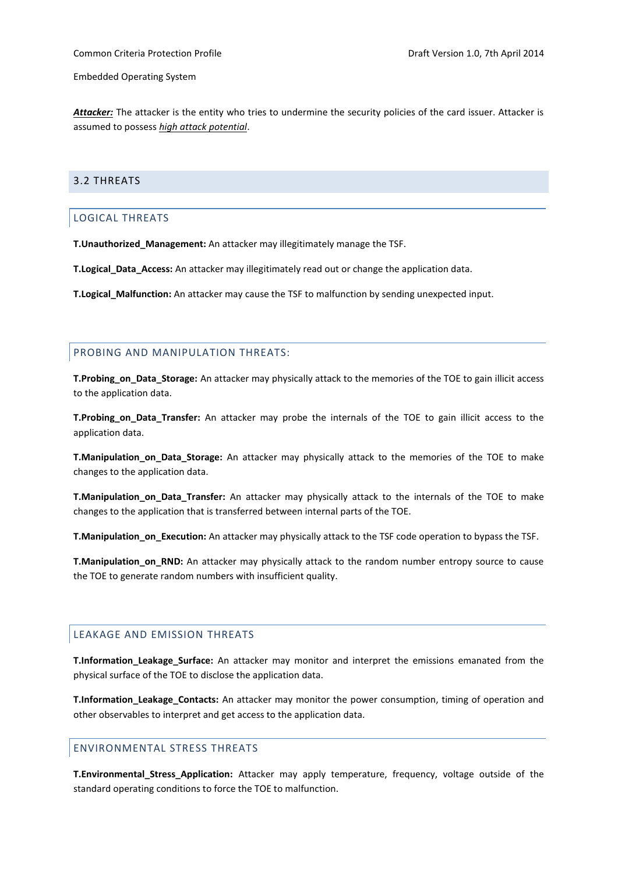*Attacker:* The attacker is the entity who tries to undermine the security policies of the card issuer. Attacker is assumed to possess *high attack potential*.

## <span id="page-12-1"></span><span id="page-12-0"></span>3.2 THREATS

## LOGICAL THREATS

**T.Unauthorized\_Management:** An attacker may illegitimately manage the TSF.

**T.Logical\_Data\_Access:** An attacker may illegitimately read out or change the application data.

**T.Logical\_Malfunction:** An attacker may cause the TSF to malfunction by sending unexpected input.

## <span id="page-12-2"></span>PROBING AND MANIPULATION THREATS:

**T.Probing\_on\_Data\_Storage:** An attacker may physically attack to the memories of the TOE to gain illicit access to the application data.

**T.Probing\_on\_Data\_Transfer:** An attacker may probe the internals of the TOE to gain illicit access to the application data.

**T.Manipulation\_on\_Data\_Storage:** An attacker may physically attack to the memories of the TOE to make changes to the application data.

**T.Manipulation\_on\_Data\_Transfer:** An attacker may physically attack to the internals of the TOE to make changes to the application that is transferred between internal parts of the TOE.

**T.Manipulation\_on\_Execution:** An attacker may physically attack to the TSF code operation to bypass the TSF.

**T.Manipulation\_on\_RND:** An attacker may physically attack to the random number entropy source to cause the TOE to generate random numbers with insufficient quality.

## <span id="page-12-3"></span>LEAKAGE AND EMISSION THREATS

**T.Information\_Leakage\_Surface:** An attacker may monitor and interpret the emissions emanated from the physical surface of the TOE to disclose the application data.

**T.Information\_Leakage\_Contacts:** An attacker may monitor the power consumption, timing of operation and other observables to interpret and get access to the application data.

## <span id="page-12-4"></span>ENVIRONMENTAL STRESS THREATS

**T.Environmental\_Stress\_Application:** Attacker may apply temperature, frequency, voltage outside of the standard operating conditions to force the TOE to malfunction.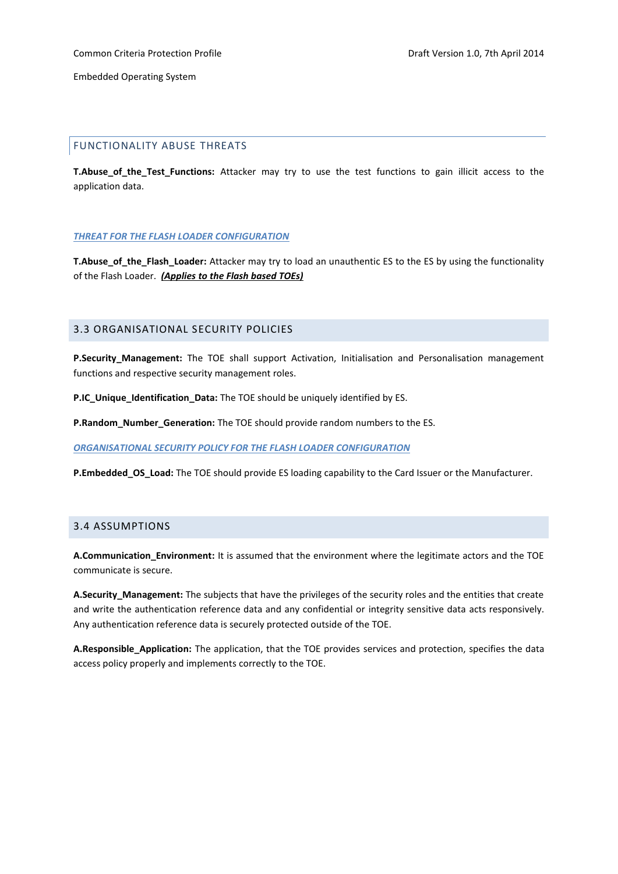## <span id="page-13-0"></span>FUNCTIONALITY ABUSE THREATS

**T.Abuse\_of\_the\_Test\_Functions:** Attacker may try to use the test functions to gain illicit access to the application data.

#### *THREAT FOR THE FLASH LOADER CONFIGURATION*

**T.Abuse\_of\_the\_Flash\_Loader:** Attacker may try to load an unauthentic ES to the ES by using the functionality of the Flash Loader. *(Applies to the Flash based TOEs)*

## <span id="page-13-1"></span>3.3 ORGANISATIONAL SECURITY POLICIES

**P.Security Management:** The TOE shall support Activation, Initialisation and Personalisation management functions and respective security management roles.

**P.IC\_Unique\_Identification\_Data:** The TOE should be uniquely identified by ES.

**P.Random\_Number\_Generation:** The TOE should provide random numbers to the ES.

*ORGANISATIONAL SECURITY POLICY FOR THE FLASH LOADER CONFIGURATION*

**P.Embedded\_OS\_Load:** The TOE should provide ES loading capability to the Card Issuer or the Manufacturer.

## <span id="page-13-2"></span>3.4 ASSUMPTIONS

**A.Communication\_Environment:** It is assumed that the environment where the legitimate actors and the TOE communicate is secure.

**A.Security\_Management:** The subjects that have the privileges of the security roles and the entities that create and write the authentication reference data and any confidential or integrity sensitive data acts responsively. Any authentication reference data is securely protected outside of the TOE.

**A.Responsible\_Application:** The application, that the TOE provides services and protection, specifies the data access policy properly and implements correctly to the TOE.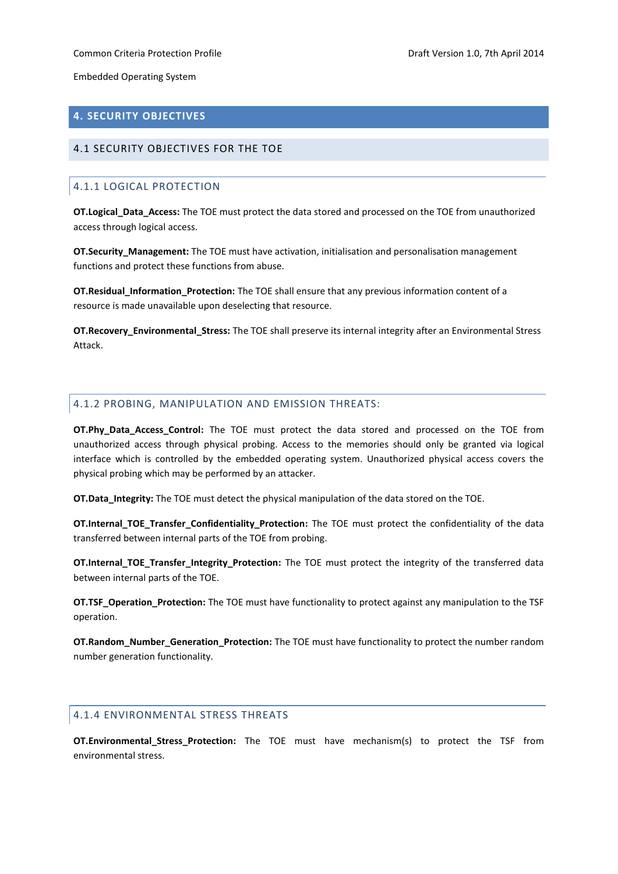## <span id="page-14-0"></span>**4. SECURITY OBJECTIVES**

## <span id="page-14-2"></span><span id="page-14-1"></span>4.1 SECURITY OBJECTIVES FOR THE TOE

## 4.1.1 LOGICAL PROTECTION

**OT.Logical\_Data\_Access:** The TOE must protect the data stored and processed on the TOE from unauthorized access through logical access.

**OT.Security\_Management:** The TOE must have activation, initialisation and personalisation management functions and protect these functions from abuse.

**OT.Residual\_Information\_Protection:** The TOE shall ensure that any previous information content of a resource is made unavailable upon deselecting that resource.

**OT.Recovery\_Environmental\_Stress:** The TOE shall preserve its internal integrity after an Environmental Stress Attack.

## <span id="page-14-3"></span>4.1.2 PROBING, MANIPULATION AND EMISSION THREATS:

**OT.Phy\_Data\_Access\_Control:** The TOE must protect the data stored and processed on the TOE from unauthorized access through physical probing. Access to the memories should only be granted via logical interface which is controlled by the embedded operating system. Unauthorized physical access covers the physical probing which may be performed by an attacker.

**OT.Data\_Integrity:** The TOE must detect the physical manipulation of the data stored on the TOE.

**OT.Internal\_TOE\_Transfer\_Confidentiality\_Protection:** The TOE must protect the confidentiality of the data transferred between internal parts of the TOE from probing.

**OT.Internal\_TOE\_Transfer\_Integrity\_Protection:** The TOE must protect the integrity of the transferred data between internal parts of the TOE.

**OT.TSF\_Operation\_Protection:** The TOE must have functionality to protect against any manipulation to the TSF operation.

**OT.Random\_Number\_Generation\_Protection:** The TOE must have functionality to protect the number random number generation functionality.

## <span id="page-14-4"></span>4.1.4 ENVIRONMENTAL STRESS THREATS

**OT.Environmental\_Stress\_Protection:** The TOE must have mechanism(s) to protect the TSF from environmental stress.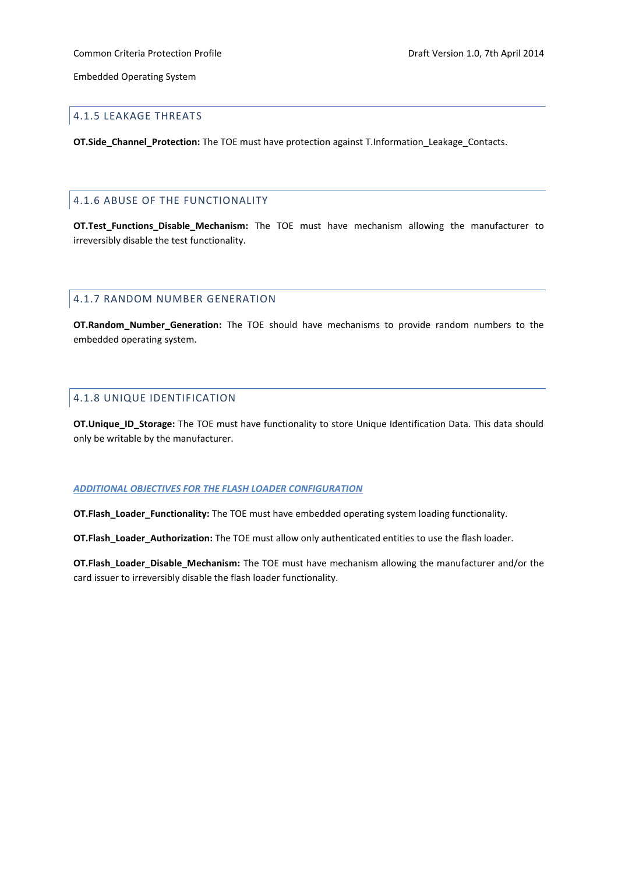#### <span id="page-15-0"></span>4.1.5 LEAKAGE THREATS

**OT.Side\_Channel\_Protection:** The TOE must have protection against T.Information\_Leakage\_Contacts.

## <span id="page-15-1"></span>4.1.6 ABUSE OF THE FUNCTIONALITY

**OT.Test\_Functions\_Disable\_Mechanism:** The TOE must have mechanism allowing the manufacturer to irreversibly disable the test functionality.

## <span id="page-15-2"></span>4.1.7 RANDOM NUMBER GENERATION

**OT.Random\_Number\_Generation:** The TOE should have mechanisms to provide random numbers to the embedded operating system.

## <span id="page-15-3"></span>4.1.8 UNIQUE IDENTIFICATION

**OT.Unique\_ID\_Storage:** The TOE must have functionality to store Unique Identification Data. This data should only be writable by the manufacturer.

#### *ADDITIONAL OBJECTIVES FOR THE FLASH LOADER CONFIGURATION*

**OT.Flash\_Loader\_Functionality:** The TOE must have embedded operating system loading functionality.

**OT.Flash\_Loader\_Authorization:** The TOE must allow only authenticated entities to use the flash loader.

<span id="page-15-4"></span>**OT.Flash\_Loader\_Disable\_Mechanism:** The TOE must have mechanism allowing the manufacturer and/or the card issuer to irreversibly disable the flash loader functionality.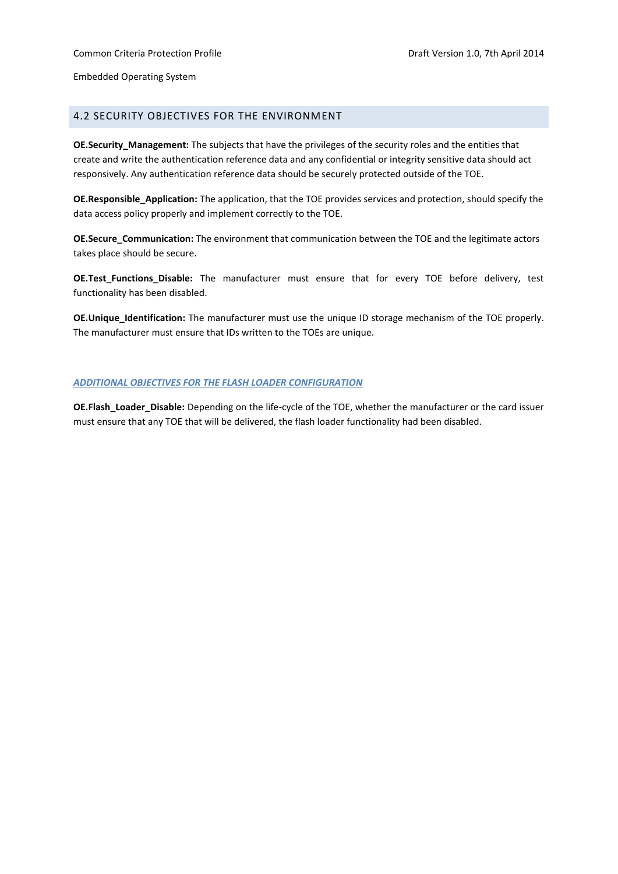## 4.2 SECURITY OBJECTIVES FOR THE ENVIRONMENT

**OE. Security Management:** The subjects that have the privileges of the security roles and the entities that create and write the authentication reference data and any confidential or integrity sensitive data should act responsively. Any authentication reference data should be securely protected outside of the TOE.

**OE.Responsible\_Application:** The application, that the TOE provides services and protection, should specify the data access policy properly and implement correctly to the TOE.

**OE.Secure\_Communication:** The environment that communication between the TOE and the legitimate actors takes place should be secure.

**OE.Test\_Functions\_Disable:** The manufacturer must ensure that for every TOE before delivery, test functionality has been disabled.

**OE.Unique\_Identification:** The manufacturer must use the unique ID storage mechanism of the TOE properly. The manufacturer must ensure that IDs written to the TOEs are unique.

#### *ADDITIONAL OBJECTIVES FOR THE FLASH LOADER CONFIGURATION*

**OE.Flash\_Loader\_Disable:** Depending on the life-cycle of the TOE, whether the manufacturer or the card issuer must ensure that any TOE that will be delivered, the flash loader functionality had been disabled.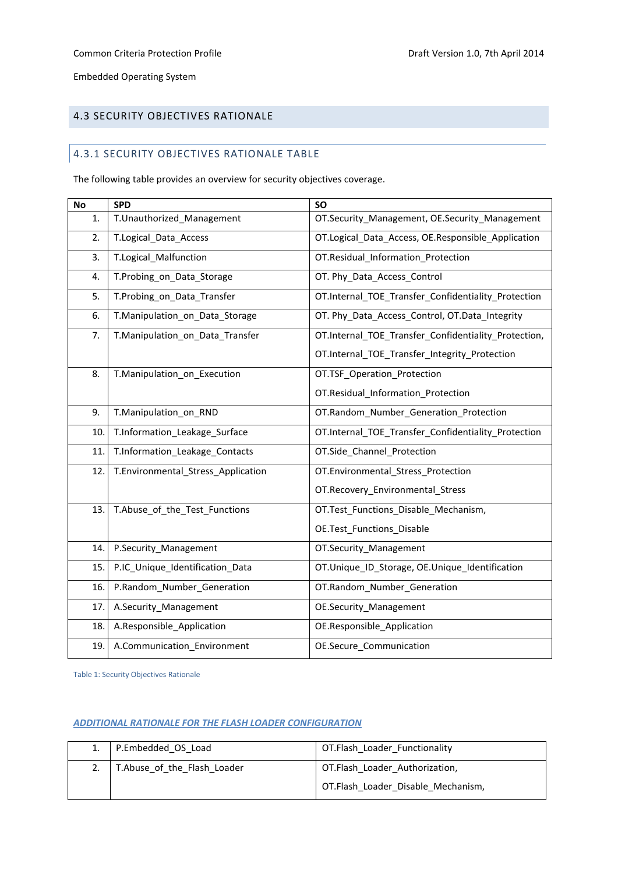## <span id="page-17-0"></span>4.3 SECURITY OBJECTIVES RATIONALE

## 4.3.1 SECURITY OBJECTIVES RATIONALE TABLE

The following table provides an overview for security objectives coverage.

| <b>No</b> | <b>SPD</b>                         | <b>SO</b>                                            |
|-----------|------------------------------------|------------------------------------------------------|
| 1.        | T.Unauthorized_Management          | OT.Security_Management, OE.Security_Management       |
| 2.        | T.Logical_Data_Access              | OT.Logical_Data_Access, OE.Responsible_Application   |
| 3.        | T.Logical Malfunction              | OT.Residual Information Protection                   |
| 4.        | T.Probing_on_Data_Storage          | OT. Phy_Data_Access_Control                          |
| 5.        | T.Probing_on_Data_Transfer         | OT.Internal_TOE_Transfer_Confidentiality_Protection  |
| 6.        | T.Manipulation_on_Data_Storage     | OT. Phy_Data_Access_Control, OT.Data_Integrity       |
| 7.        | T.Manipulation_on_Data_Transfer    | OT.Internal_TOE_Transfer_Confidentiality_Protection, |
|           |                                    | OT.Internal_TOE_Transfer_Integrity_Protection        |
| 8.        | T.Manipulation_on_Execution        | OT.TSF_Operation_Protection                          |
|           |                                    | OT.Residual_Information_Protection                   |
| 9.        | T.Manipulation_on_RND              | OT.Random_Number_Generation_Protection               |
| 10.       | T.Information_Leakage_Surface      | OT.Internal_TOE_Transfer_Confidentiality_Protection  |
| 11.       | T.Information_Leakage_Contacts     | OT.Side_Channel_Protection                           |
| 12.       | T.Environmental_Stress_Application | OT.Environmental_Stress_Protection                   |
|           |                                    | OT.Recovery_Environmental_Stress                     |
| 13.       | T.Abuse_of_the_Test_Functions      | OT.Test_Functions_Disable_Mechanism,                 |
|           |                                    | OE.Test_Functions_Disable                            |
| 14.       | P.Security_Management              | OT.Security_Management                               |
| 15.       | P.IC_Unique_Identification_Data    | OT.Unique_ID_Storage, OE.Unique_Identification       |
| 16.       | P.Random_Number_Generation         | OT.Random_Number_Generation                          |
| 17.       | A.Security_Management              | <b>OE.Security Management</b>                        |
| 18.       | A.Responsible_Application          | OE.Responsible_Application                           |
| 19.       | A.Communication_Environment        | OE.Secure_Communication                              |

<span id="page-17-1"></span>Table 1: Security Objectives Rationale

## *ADDITIONAL RATIONALE FOR THE FLASH LOADER CONFIGURATION*

| 1.   P.Embedded_OS_Load     | OT.Flash Loader Functionality      |
|-----------------------------|------------------------------------|
| T.Abuse of the Flash Loader | OT.Flash Loader Authorization,     |
|                             | OT.Flash Loader Disable Mechanism, |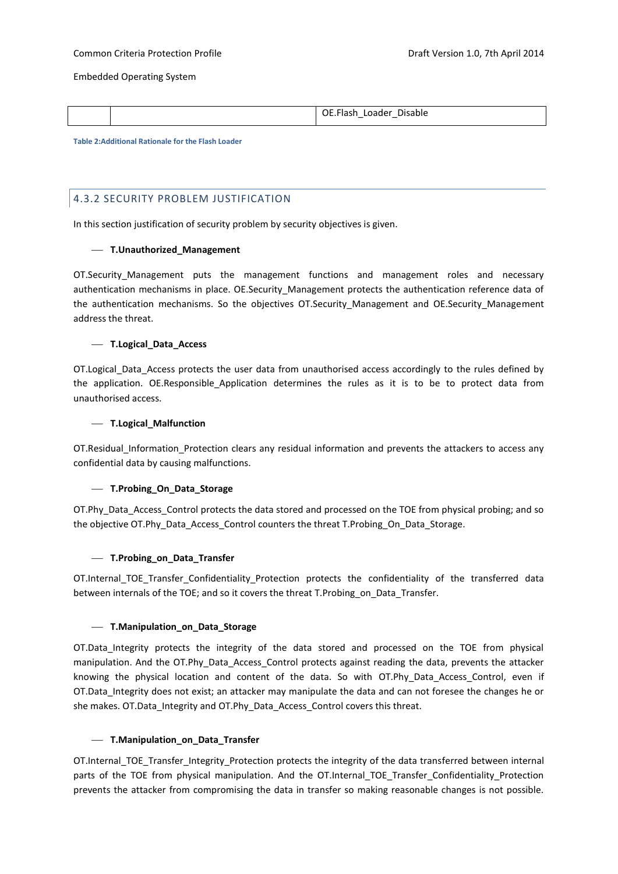|  | OE.Flash Loader Disable |
|--|-------------------------|
|  |                         |

<span id="page-18-1"></span>**Table 2:Additional Rationale for the Flash Loader**

## <span id="page-18-0"></span>4.3.2 SECURITY PROBLEM JUSTIFICATION

In this section justification of security problem by security objectives is given.

## **T.Unauthorized\_Management**

OT.Security Management puts the management functions and management roles and necessary authentication mechanisms in place. OE.Security\_Management protects the authentication reference data of the authentication mechanisms. So the objectives OT.Security Management and OE.Security Management address the threat.

## **T.Logical\_Data\_Access**

OT.Logical Data Access protects the user data from unauthorised access accordingly to the rules defined by the application. OE.Responsible Application determines the rules as it is to be to protect data from unauthorised access.

## **T.Logical\_Malfunction**

OT.Residual Information Protection clears any residual information and prevents the attackers to access any confidential data by causing malfunctions.

## **T.Probing\_On\_Data\_Storage**

OT.Phy\_Data\_Access\_Control protects the data stored and processed on the TOE from physical probing; and so the objective OT.Phy\_Data\_Access\_Control counters the threat T.Probing\_On\_Data\_Storage.

## **T.Probing\_on\_Data\_Transfer**

OT.Internal TOE Transfer Confidentiality Protection protects the confidentiality of the transferred data between internals of the TOE; and so it covers the threat T.Probing\_on\_Data\_Transfer.

## **T.Manipulation\_on\_Data\_Storage**

OT.Data\_Integrity protects the integrity of the data stored and processed on the TOE from physical manipulation. And the OT.Phy\_Data\_Access\_Control protects against reading the data, prevents the attacker knowing the physical location and content of the data. So with OT.Phy\_Data\_Access\_Control, even if OT.Data Integrity does not exist; an attacker may manipulate the data and can not foresee the changes he or she makes. OT.Data\_Integrity and OT.Phy\_Data\_Access\_Control covers this threat.

#### **T.Manipulation\_on\_Data\_Transfer**

OT.Internal\_TOE\_Transfer\_Integrity\_Protection protects the integrity of the data transferred between internal parts of the TOE from physical manipulation. And the OT.Internal\_TOE\_Transfer\_Confidentiality\_Protection prevents the attacker from compromising the data in transfer so making reasonable changes is not possible.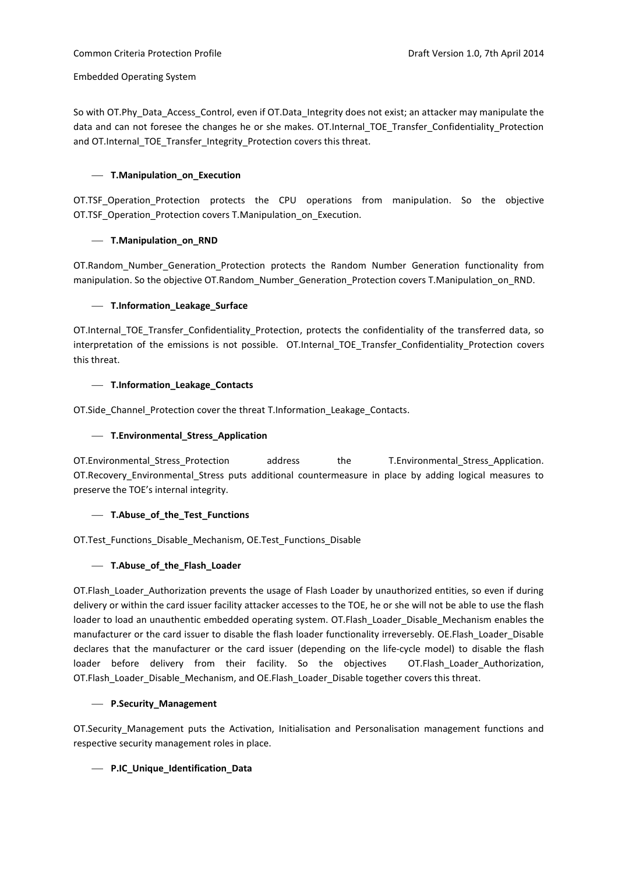So with OT.Phy\_Data\_Access\_Control, even if OT.Data\_Integrity does not exist; an attacker may manipulate the data and can not foresee the changes he or she makes. OT.Internal TOE\_Transfer\_Confidentiality\_Protection and OT.Internal\_TOE\_Transfer\_Integrity\_Protection covers this threat.

## **T.Manipulation\_on\_Execution**

OT.TSF Operation Protection protects the CPU operations from manipulation. So the objective OT.TSF Operation Protection covers T.Manipulation on Execution.

## **T.Manipulation\_on\_RND**

OT.Random Number Generation Protection protects the Random Number Generation functionality from manipulation. So the objective OT.Random\_Number\_Generation\_Protection covers T.Manipulation\_on\_RND.

## **T.Information\_Leakage\_Surface**

OT.Internal TOE Transfer Confidentiality Protection, protects the confidentiality of the transferred data, so interpretation of the emissions is not possible. OT.Internal\_TOE\_Transfer\_Confidentiality\_Protection covers this threat.

## **T.Information\_Leakage\_Contacts**

OT. Side Channel Protection cover the threat T. Information Leakage Contacts.

## **T.Environmental\_Stress\_Application**

OT.Environmental Stress Protection address the T.Environmental Stress Application. OT.Recovery\_Environmental\_Stress puts additional countermeasure in place by adding logical measures to preserve the TOE's internal integrity.

## **T.Abuse\_of\_the\_Test\_Functions**

OT.Test Functions Disable Mechanism, OE.Test Functions Disable

## **T.Abuse\_of\_the\_Flash\_Loader**

OT.Flash\_Loader\_Authorization prevents the usage of Flash Loader by unauthorized entities, so even if during delivery or within the card issuer facility attacker accesses to the TOE, he or she will not be able to use the flash loader to load an unauthentic embedded operating system. OT.Flash\_Loader\_Disable\_Mechanism enables the manufacturer or the card issuer to disable the flash loader functionality irreversebly. OE.Flash Loader Disable declares that the manufacturer or the card issuer (depending on the life-cycle model) to disable the flash loader before delivery from their facility. So the objectives OT.Flash\_Loader\_Authorization, OT.Flash\_Loader\_Disable\_Mechanism, and OE.Flash\_Loader\_Disable together covers this threat.

#### **P.Security\_Management**

OT.Security Management puts the Activation, Initialisation and Personalisation management functions and respective security management roles in place.

## **P.IC\_Unique\_Identification\_Data**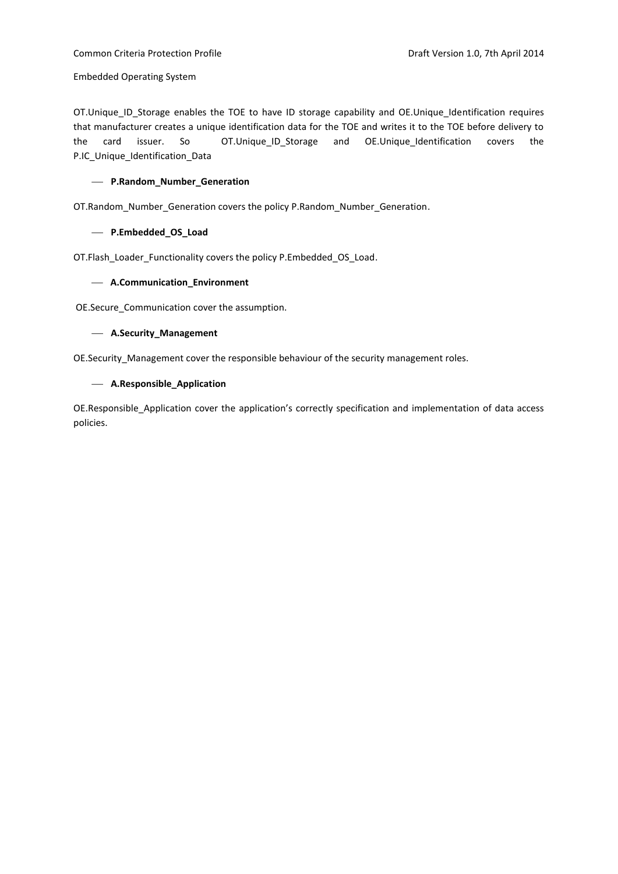## Common Criteria Protection Profile **Common Criteria Protection Profile** Draft Version 1.0, 7th April 2014

Embedded Operating System

OT.Unique\_ID\_Storage enables the TOE to have ID storage capability and OE.Unique\_Identification requires that manufacturer creates a unique identification data for the TOE and writes it to the TOE before delivery to the card issuer. So OT.Unique\_ID\_Storage and OE.Unique\_Identification covers the P.IC Unique Identification Data

## **P.Random\_Number\_Generation**

OT.Random\_Number\_Generation covers the policy P.Random\_Number\_Generation.

## **P.Embedded\_OS\_Load**

OT.Flash\_Loader\_Functionality covers the policy P.Embedded\_OS\_Load.

## **A.Communication\_Environment**

OE.Secure\_Communication cover the assumption.

## **A.Security\_Management**

OE.Security Management cover the responsible behaviour of the security management roles.

## **A.Responsible\_Application**

OE.Responsible\_Application cover the application's correctly specification and implementation of data access policies.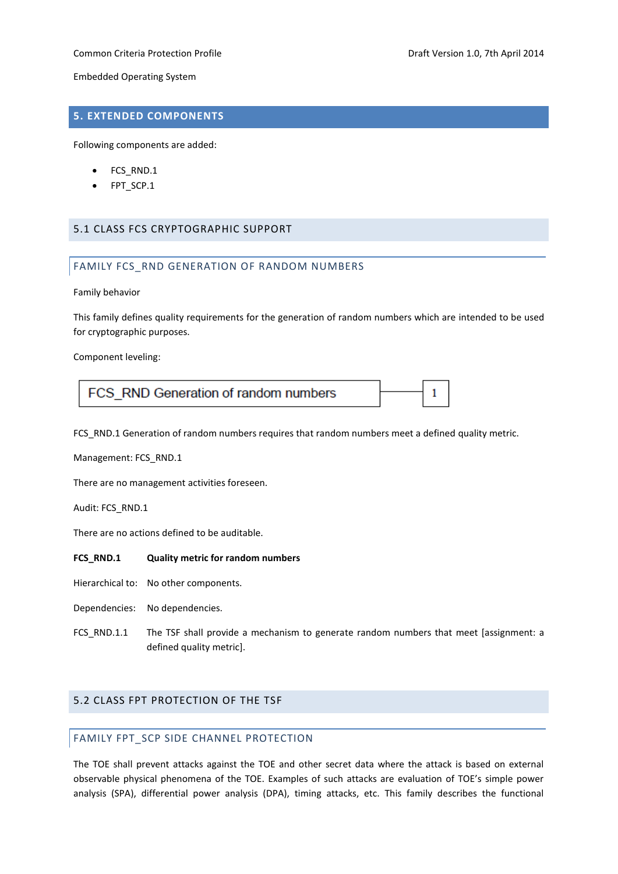## Common Criteria Protection Profile **Common Criteria Professor According Profile** Draft Version 1.0, 7th April 2014

1

Embedded Operating System

## <span id="page-21-0"></span>**5. EXTENDED COMPONENTS**

Following components are added:

- FCS\_RND.1
- FPT\_SCP.1

## <span id="page-21-2"></span><span id="page-21-1"></span>5.1 CLASS FCS CRYPTOGRAPHIC SUPPORT

## FAMILY FCS\_RND GENERATION OF RANDOM NUMBERS

Family behavior

This family defines quality requirements for the generation of random numbers which are intended to be used for cryptographic purposes.

Component leveling:

FCS\_RND Generation of random numbers

FCS RND.1 Generation of random numbers requires that random numbers meet a defined quality metric.

Management: FCS\_RND.1

There are no management activities foreseen.

Audit: FCS\_RND.1

There are no actions defined to be auditable.

## **FCS\_RND.1 Quality metric for random numbers**

- Hierarchical to: No other components.
- Dependencies: No dependencies.
- FCS RND.1.1 The TSF shall provide a mechanism to generate random numbers that meet [assignment: a defined quality metric].

## <span id="page-21-4"></span><span id="page-21-3"></span>5.2 CLASS FPT PROTECTION OF THE TSF

## FAMILY FPT\_SCP SIDE CHANNEL PROTECTION

The TOE shall prevent attacks against the TOE and other secret data where the attack is based on external observable physical phenomena of the TOE. Examples of such attacks are evaluation of TOE's simple power analysis (SPA), differential power analysis (DPA), timing attacks, etc. This family describes the functional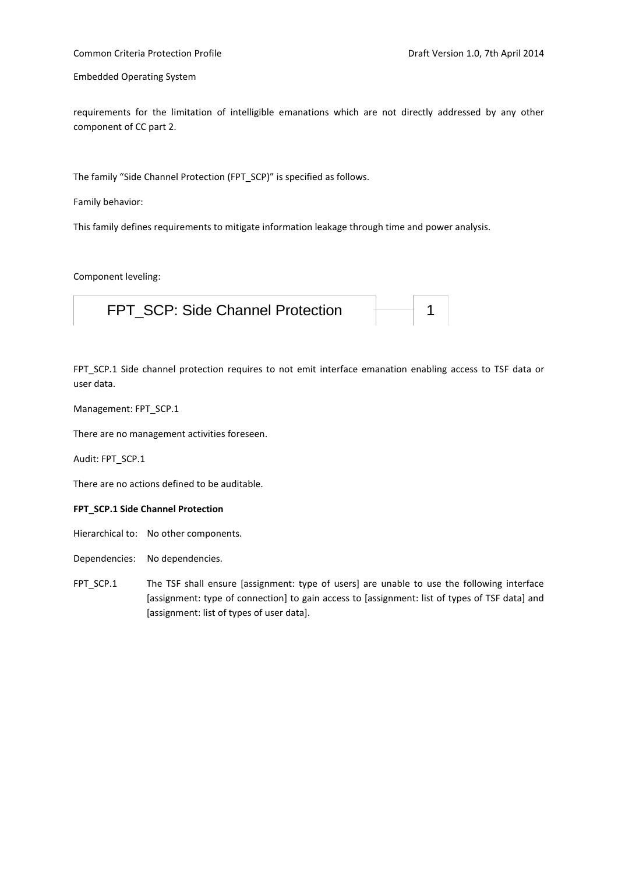## Common Criteria Protection Profile **Common Criteria Professor According Profile** Draft Version 1.0, 7th April 2014

Embedded Operating System

requirements for the limitation of intelligible emanations which are not directly addressed by any other component of CC part 2.

The family "Side Channel Protection (FPT\_SCP)" is specified as follows.

Family behavior:

This family defines requirements to mitigate information leakage through time and power analysis.

#### Component leveling:

| FPT SCP: Side Channel Protection |  |  |
|----------------------------------|--|--|
|----------------------------------|--|--|

FPT\_SCP.1 Side channel protection requires to not emit interface emanation enabling access to TSF data or user data.

## Management: FPT\_SCP.1

There are no management activities foreseen.

Audit: FPT\_SCP.1

There are no actions defined to be auditable.

#### **FPT\_SCP.1 Side Channel Protection**

Hierarchical to: No other components.

- Dependencies: No dependencies.
- FPT\_SCP.1 The TSF shall ensure [assignment: type of users] are unable to use the following interface [assignment: type of connection] to gain access to [assignment: list of types of TSF data] and [assignment: list of types of user data].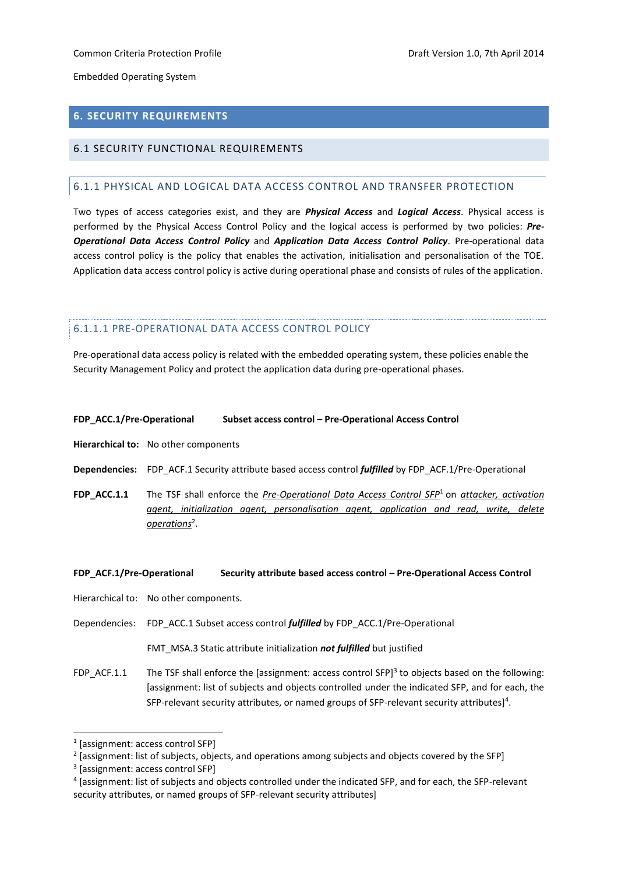## <span id="page-23-0"></span>**6. SECURITY REQUIREMENTS**

## <span id="page-23-2"></span><span id="page-23-1"></span>6.1 SECURITY FUNCTIONAL REQUIREMENTS

## 6.1.1 PHYSICAL AND LOGICAL DATA ACCESS CONTROL AND TRANSFER PROTECTION

Two types of access categories exist, and they are *Physical Access* and *Logical Access*. Physical access is performed by the Physical Access Control Policy and the logical access is performed by two policies: *Pre-Operational Data Access Control Policy* and *Application Data Access Control Policy*. Pre-operational data access control policy is the policy that enables the activation, initialisation and personalisation of the TOE. Application data access control policy is active during operational phase and consists of rules of the application.

## 6.1.1.1 PRE-OPERATIONAL DATA ACCESS CONTROL POLICY

Pre-operational data access policy is related with the embedded operating system, these policies enable the Security Management Policy and protect the application data during pre-operational phases.

#### **FDP\_ACC.1/Pre-Operational Subset access control – Pre-Operational Access Control**

**Hierarchical to:** No other components

**Dependencies:** FDP\_ACF.1 Security attribute based access control *fulfilled* by FDP\_ACF.1/Pre-Operational

**FDP\_ACC.1.1** The TSF shall enforce the *Pre-Operational Data Access Control SFP*<sup>1</sup> on *attacker, activation agent, initialization agent, personalisation agent, application and read, write, delete operations*<sup>2</sup> .

#### **FDP\_ACF.1/Pre-Operational Security attribute based access control – Pre-Operational Access Control**

Hierarchical to: No other components.

Dependencies: FDP\_ACC.1 Subset access control *fulfilled* by FDP\_ACC.1/Pre-Operational

FMT\_MSA.3 Static attribute initialization *not fulfilled* but justified

FDP\_ACF.1.1 The TSF shall enforce the [assignment: access control SFP] $3$  to objects based on the following: [assignment: list of subjects and objects controlled under the indicated SFP, and for each, the SFP-relevant security attributes, or named groups of SFP-relevant security attributes]<sup>4</sup>.

1

<sup>1</sup> [assignment: access control SFP]

 $2$  [assignment: list of subjects, objects, and operations among subjects and objects covered by the SFP]

<sup>3</sup> [assignment: access control SFP]

<sup>4</sup> [assignment: list of subjects and objects controlled under the indicated SFP, and for each, the SFP-relevant security attributes, or named groups of SFP-relevant security attributes]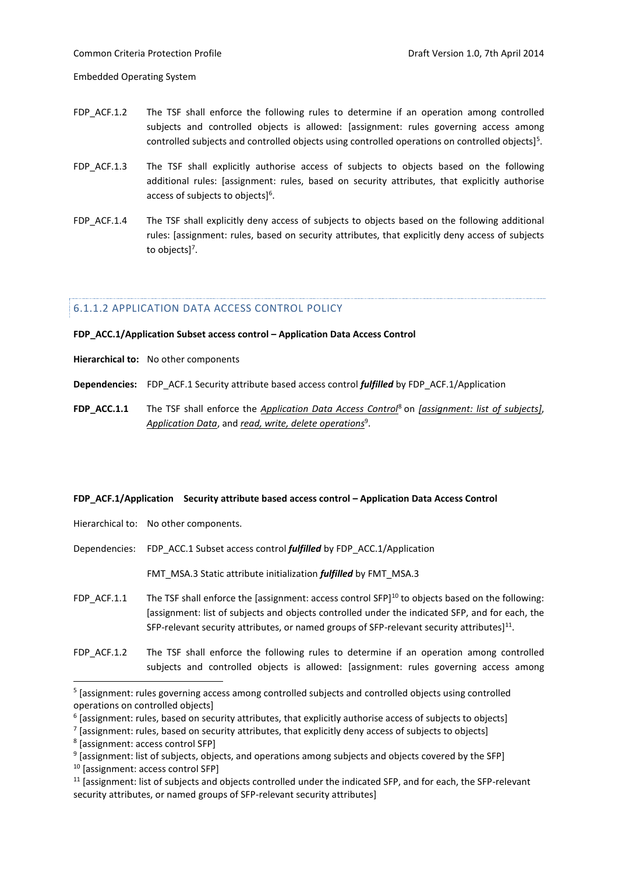- FDP\_ACF.1.2 The TSF shall enforce the following rules to determine if an operation among controlled subjects and controlled objects is allowed: [assignment: rules governing access among controlled subjects and controlled objects using controlled operations on controlled objects]<sup>5</sup>.
- FDP ACF.1.3 The TSF shall explicitly authorise access of subjects to objects based on the following additional rules: [assignment: rules, based on security attributes, that explicitly authorise access of subjects to objects]<sup>6</sup>.
- FDP\_ACF.1.4 The TSF shall explicitly deny access of subjects to objects based on the following additional rules: [assignment: rules, based on security attributes, that explicitly deny access of subjects to objects]<sup>7</sup>.

## 6.1.1.2 APPLICATION DATA ACCESS CONTROL POLICY

#### **FDP\_ACC.1/Application Subset access control – Application Data Access Control**

- **Hierarchical to:** No other components
- **Dependencies:** FDP\_ACF.1 Security attribute based access control *fulfilled* by FDP\_ACF.1/Application
- **FDP\_ACC.1.1** The TSF shall enforce the *Application Data Access Control*<sup>8</sup> on *[assignment: list of subjects]*, *Application Data*, and *read, write, delete operations*<sup>9</sup> .

#### **FDP\_ACF.1/Application Security attribute based access control – Application Data Access Control**

- Hierarchical to: No other components.
- Dependencies: FDP\_ACC.1 Subset access control *fulfilled* by FDP\_ACC.1/Application

FMT\_MSA.3 Static attribute initialization *fulfilled* by FMT\_MSA.3

- FDP\_ACF.1.1 The TSF shall enforce the [assignment: access control SFP]<sup>10</sup> to objects based on the following: [assignment: list of subjects and objects controlled under the indicated SFP, and for each, the SFP-relevant security attributes, or named groups of SFP-relevant security attributes]<sup>11</sup>.
- FDP\_ACF.1.2 The TSF shall enforce the following rules to determine if an operation among controlled subjects and controlled objects is allowed: [assignment: rules governing access among

<sup>&</sup>lt;sup>5</sup> [assignment: rules governing access among controlled subjects and controlled objects using controlled operations on controlled objects]

 $^6$  [assignment: rules, based on security attributes, that explicitly authorise access of subjects to objects]

<sup>&</sup>lt;sup>7</sup> [assignment: rules, based on security attributes, that explicitly deny access of subjects to objects]

<sup>8</sup> [assignment: access control SFP]

 $^9$  [assignment: list of subjects, objects, and operations among subjects and objects covered by the SFP]

<sup>&</sup>lt;sup>10</sup> [assignment: access control SFP]

<sup>11</sup> [assignment: list of subjects and objects controlled under the indicated SFP, and for each, the SFP-relevant security attributes, or named groups of SFP-relevant security attributes]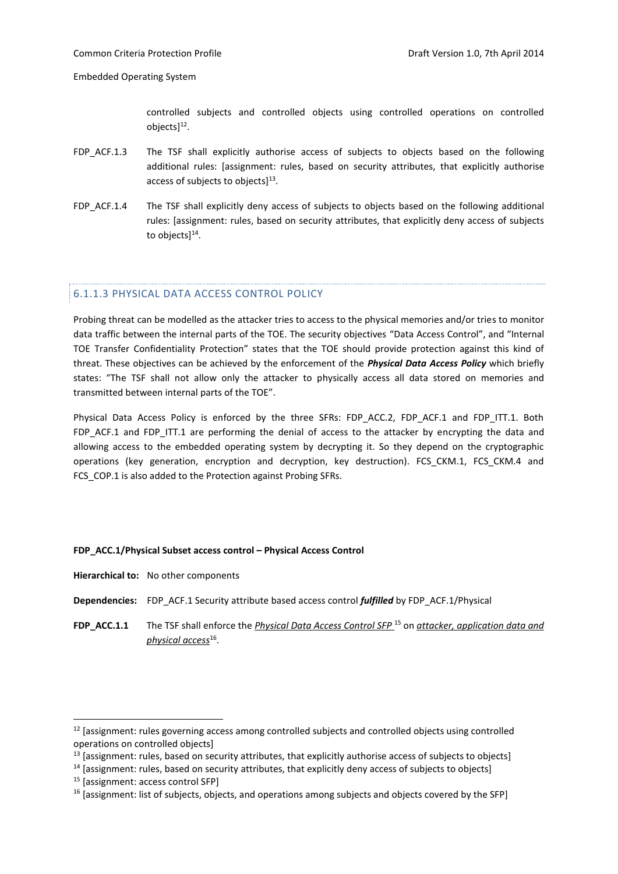controlled subjects and controlled objects using controlled operations on controlled objects]<sup>12</sup>.

- FDP ACF.1.3 The TSF shall explicitly authorise access of subjects to objects based on the following additional rules: [assignment: rules, based on security attributes, that explicitly authorise access of subjects to objects] $^{13}$ .
- FDP\_ACF.1.4 The TSF shall explicitly deny access of subjects to objects based on the following additional rules: [assignment: rules, based on security attributes, that explicitly deny access of subjects to objects]<sup>14</sup>.

## 6.1.1.3 PHYSICAL DATA ACCESS CONTROL POLICY

Probing threat can be modelled as the attacker tries to access to the physical memories and/or tries to monitor data traffic between the internal parts of the TOE. The security objectives "Data Access Control", and "Internal TOE Transfer Confidentiality Protection" states that the TOE should provide protection against this kind of threat. These objectives can be achieved by the enforcement of the *Physical Data Access Policy* which briefly states: "The TSF shall not allow only the attacker to physically access all data stored on memories and transmitted between internal parts of the TOE".

Physical Data Access Policy is enforced by the three SFRs: FDP\_ACC.2, FDP\_ACF.1 and FDP\_ITT.1. Both FDP\_ACF.1 and FDP\_ITT.1 are performing the denial of access to the attacker by encrypting the data and allowing access to the embedded operating system by decrypting it. So they depend on the cryptographic operations (key generation, encryption and decryption, key destruction). FCS\_CKM.1, FCS\_CKM.4 and FCS\_COP.1 is also added to the Protection against Probing SFRs.

## **FDP\_ACC.1/Physical Subset access control – Physical Access Control**

- **Dependencies:** FDP\_ACF.1 Security attribute based access control *fulfilled* by FDP\_ACF.1/Physical
- **FDP\_ACC.1.1** The TSF shall enforce the *Physical Data Access Control SFP* <sup>15</sup> on *attacker, application data and physical access*<sup>16</sup> .

 $12$  [assignment: rules governing access among controlled subjects and controlled objects using controlled operations on controlled objects]

 $13$  [assignment: rules, based on security attributes, that explicitly authorise access of subjects to objects]

 $14$  [assignment: rules, based on security attributes, that explicitly deny access of subjects to objects]

<sup>15</sup> [assignment: access control SFP]

<sup>&</sup>lt;sup>16</sup> [assignment: list of subjects, objects, and operations among subjects and objects covered by the SFP]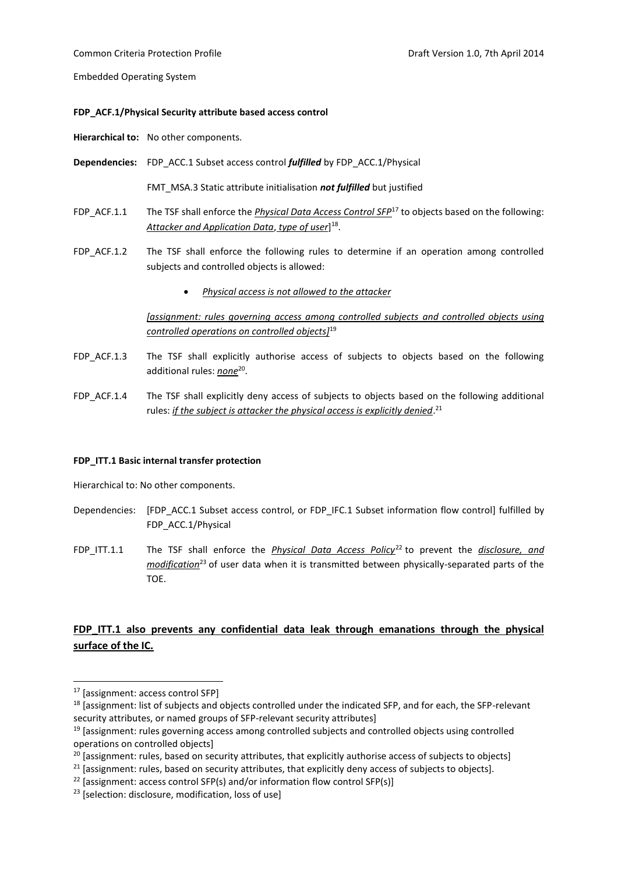#### **FDP\_ACF.1/Physical Security attribute based access control**

**Hierarchical to:** No other components.

**Dependencies:** FDP\_ACC.1 Subset access control *fulfilled* by FDP\_ACC.1/Physical

FMT\_MSA.3 Static attribute initialisation *not fulfilled* but justified

- FDP\_ACF.1.1 The TSF shall enforce the *Physical Data Access Control SFP*<sup>17</sup> to objects based on the following: *Attacker and Application Data*, *type of user*] 18 .
- FDP ACF.1.2 The TSF shall enforce the following rules to determine if an operation among controlled subjects and controlled objects is allowed:
	- *Physical access is not allowed to the attacker*

*[assignment: rules governing access among controlled subjects and controlled objects using controlled operations on controlled objects]*<sup>19</sup>

- FDP ACF.1.3 The TSF shall explicitly authorise access of subjects to objects based on the following additional rules: *none*<sup>20</sup>.
- FDP\_ACF.1.4 The TSF shall explicitly deny access of subjects to objects based on the following additional rules: *if the subject is attacker the physical access is explicitly denied*. 21

## **FDP\_ITT.1 Basic internal transfer protection**

Hierarchical to: No other components.

- Dependencies: [FDP\_ACC.1 Subset access control, or FDP\_IFC.1 Subset information flow control] fulfilled by FDP\_ACC.1/Physical
- FDP\_ITT.1.1 The TSF shall enforce the *Physical Data Access Policy*<sup>22</sup> to prevent the *disclosure, and modification*<sup>23</sup> of user data when it is transmitted between physically-separated parts of the TOE.

## **FDP\_ITT.1 also prevents any confidential data leak through emanations through the physical surface of the IC.**

<sup>17</sup> [assignment: access control SFP]

<sup>&</sup>lt;sup>18</sup> [assignment: list of subjects and objects controlled under the indicated SFP, and for each, the SFP-relevant security attributes, or named groups of SFP-relevant security attributes]

 $19$  [assignment: rules governing access among controlled subjects and controlled objects using controlled operations on controlled objects]

<sup>&</sup>lt;sup>20</sup> [assignment: rules, based on security attributes, that explicitly authorise access of subjects to objects]

 $21$  [assignment: rules, based on security attributes, that explicitly deny access of subjects to objects].

 $22$  [assignment: access control SFP(s) and/or information flow control SFP(s)]

<sup>&</sup>lt;sup>23</sup> [selection: disclosure, modification, loss of use]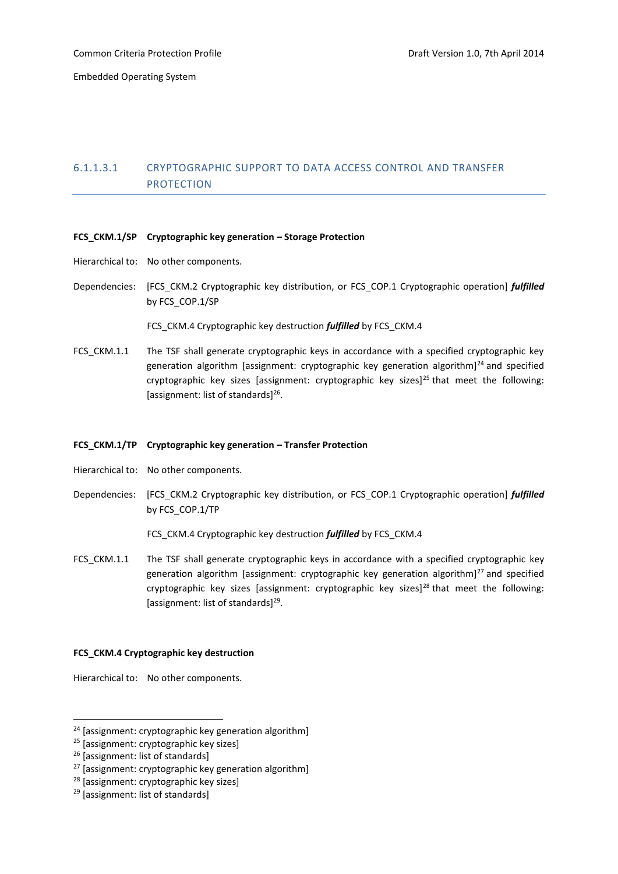## 6.1.1.3.1 CRYPTOGRAPHIC SUPPORT TO DATA ACCESS CONTROL AND TRANSFER PROTECTION

## **FCS\_CKM.1/SP Cryptographic key generation – Storage Protection**

- Hierarchical to: No other components.
- Dependencies: [FCS\_CKM.2 Cryptographic key distribution, or FCS\_COP.1 Cryptographic operation] *fulfilled* by FCS\_COP.1/SP

FCS\_CKM.4 Cryptographic key destruction *fulfilled* by FCS\_CKM.4

FCS CKM.1.1 The TSF shall generate cryptographic keys in accordance with a specified cryptographic key generation algorithm [assignment: cryptographic key generation algorithm] $^{24}$  and specified cryptographic key sizes [assignment: cryptographic key sizes]<sup>25</sup> that meet the following: [assignment: list of standards]<sup>26</sup>.

## **FCS\_CKM.1/TP Cryptographic key generation – Transfer Protection**

- Hierarchical to: No other components.
- Dependencies: [FCS\_CKM.2 Cryptographic key distribution, or FCS\_COP.1 Cryptographic operation] *fulfilled* by FCS\_COP.1/TP

FCS\_CKM.4 Cryptographic key destruction *fulfilled* by FCS\_CKM.4

FCS CKM.1.1 The TSF shall generate cryptographic keys in accordance with a specified cryptographic key generation algorithm [assignment: cryptographic key generation algorithm]<sup>27</sup> and specified cryptographic key sizes [assignment: cryptographic key sizes]<sup>28</sup> that meet the following: [assignment: list of standards]<sup>29</sup>.

## **FCS\_CKM.4 Cryptographic key destruction**

Hierarchical to: No other components.

<sup>&</sup>lt;sup>24</sup> [assignment: cryptographic key generation algorithm]

<sup>&</sup>lt;sup>25</sup> [assignment: cryptographic key sizes]

<sup>&</sup>lt;sup>26</sup> [assignment: list of standards]

<sup>&</sup>lt;sup>27</sup> [assignment: cryptographic key generation algorithm]

<sup>28</sup> [assignment: cryptographic key sizes]

<sup>&</sup>lt;sup>29</sup> [assignment: list of standards]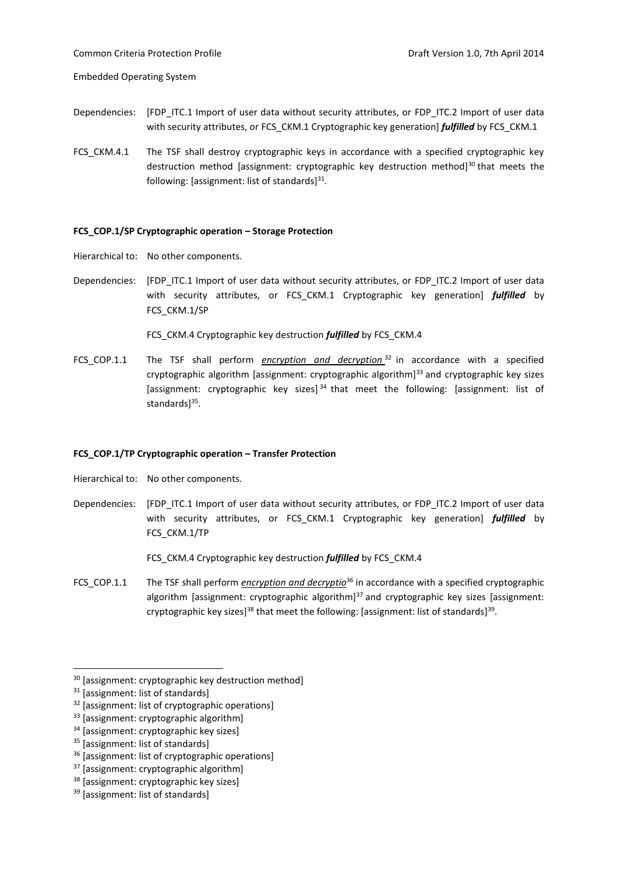- Dependencies: [FDP\_ITC.1 Import of user data without security attributes, or FDP\_ITC.2 Import of user data with security attributes, or FCS\_CKM.1 Cryptographic key generation] *fulfilled* by FCS\_CKM.1
- FCS CKM.4.1 The TSF shall destroy cryptographic keys in accordance with a specified cryptographic key destruction method [assignment: cryptographic key destruction method] $^{30}$  that meets the following: [assignment: list of standards]<sup>31</sup>.

## **FCS\_COP.1/SP Cryptographic operation – Storage Protection**

Hierarchical to: No other components.

Dependencies: [FDP ITC.1 Import of user data without security attributes, or FDP ITC.2 Import of user data with security attributes, or FCS\_CKM.1 Cryptographic key generation] *fulfilled* by FCS\_CKM.1/SP

FCS\_CKM.4 Cryptographic key destruction *fulfilled* by FCS\_CKM.4

FCS\_COP.1.1 The TSF shall perform *encryption and decryption* <sup>32</sup> in accordance with a specified cryptographic algorithm [assignment: cryptographic algorithm]<sup>33</sup> and cryptographic key sizes [assignment: cryptographic key sizes]  $34$  that meet the following: [assignment: list of standards]<sup>35</sup>.

#### **FCS\_COP.1/TP Cryptographic operation – Transfer Protection**

Hierarchical to: No other components.

Dependencies: [FDP\_ITC.1 Import of user data without security attributes, or FDP\_ITC.2 Import of user data with security attributes, or FCS\_CKM.1 Cryptographic key generation] *fulfilled* by FCS\_CKM.1/TP

FCS\_CKM.4 Cryptographic key destruction *fulfilled* by FCS\_CKM.4

FCS\_COP.1.1 The TSF shall perform *encryption and decryptio*<sup>36</sup> in accordance with a specified cryptographic algorithm [assignment: cryptographic algorithm] $37$  and cryptographic key sizes [assignment: cryptographic key sizes]<sup>38</sup> that meet the following: [assignment: list of standards]<sup>39</sup>.

1

<sup>&</sup>lt;sup>30</sup> [assignment: cryptographic key destruction method]

<sup>31</sup> [assignment: list of standards]

<sup>&</sup>lt;sup>32</sup> [assignment: list of cryptographic operations]

<sup>33</sup> [assignment: cryptographic algorithm]

<sup>&</sup>lt;sup>34</sup> [assignment: cryptographic key sizes]

<sup>&</sup>lt;sup>35</sup> [assignment: list of standards]

<sup>36</sup> [assignment: list of cryptographic operations]

<sup>&</sup>lt;sup>37</sup> [assignment: cryptographic algorithm]

<sup>38</sup> [assignment: cryptographic key sizes]

<sup>39</sup> [assignment: list of standards]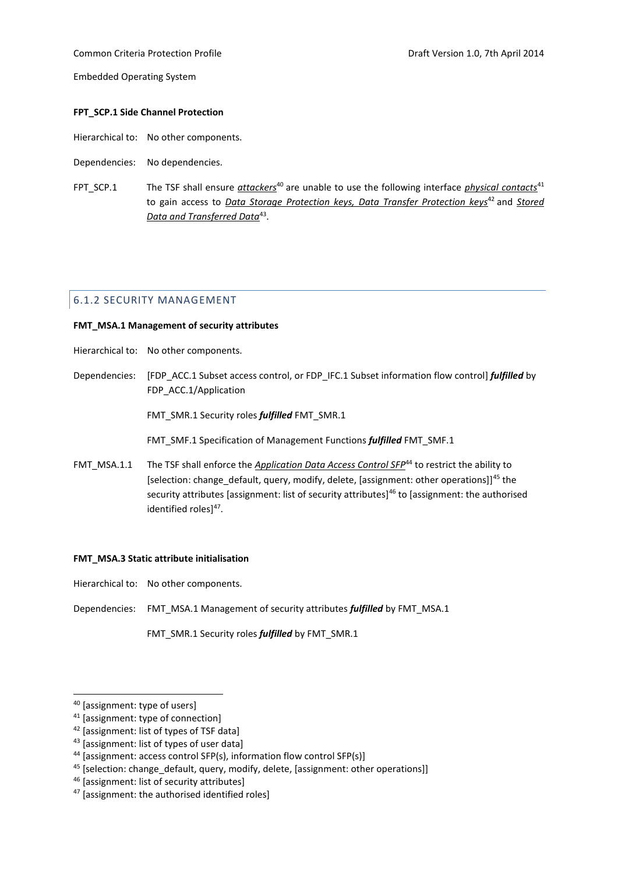## Common Criteria Protection Profile Draft Version 1.0, 7th April 2014

Embedded Operating System

#### **FPT\_SCP.1 Side Channel Protection**

- Hierarchical to: No other components.
- Dependencies: No dependencies.
- FPT SCP.1 The TSF shall ensure *attackers*<sup>40</sup> are unable to use the following interface *physical contacts*<sup>41</sup> to gain access to *Data Storage Protection keys, Data Transfer Protection keys<sup>42</sup> and Stored Data and Transferred Data*<sup>43</sup> .

## <span id="page-29-0"></span>6.1.2 SECURITY MANAGEMENT

#### **FMT\_MSA.1 Management of security attributes**

- Hierarchical to: No other components.
- Dependencies: [FDP\_ACC.1 Subset access control, or FDP\_IFC.1 Subset information flow control] *fulfilled* by FDP\_ACC.1/Application

FMT\_SMR.1 Security roles *fulfilled* FMT\_SMR.1

FMT\_SMF.1 Specification of Management Functions *fulfilled* FMT\_SMF.1

FMT\_MSA.1.1 The TSF shall enforce the *Application Data Access Control SFP*<sup>44</sup> to restrict the ability to [selection: change\_default, query, modify, delete, [assignment: other operations]]<sup>45</sup> the security attributes [assignment: list of security attributes]<sup>46</sup> to [assignment: the authorised identified roles]<sup>47</sup>.

#### **FMT\_MSA.3 Static attribute initialisation**

- Hierarchical to: No other components.
- Dependencies: FMT\_MSA.1 Management of security attributes *fulfilled* by FMT\_MSA.1

FMT\_SMR.1 Security roles *fulfilled* by FMT\_SMR.1

<sup>40</sup> [assignment: type of users]

<sup>41</sup> [assignment: type of connection]

<sup>42</sup> [assignment: list of types of TSF data]

<sup>43 [</sup>assignment: list of types of user data]

<sup>44</sup> [assignment: access control SFP(s), information flow control SFP(s)]

 $45$  [selection: change default, query, modify, delete, [assignment: other operations]]

<sup>46</sup> [assignment: list of security attributes]

<sup>47</sup> [assignment: the authorised identified roles]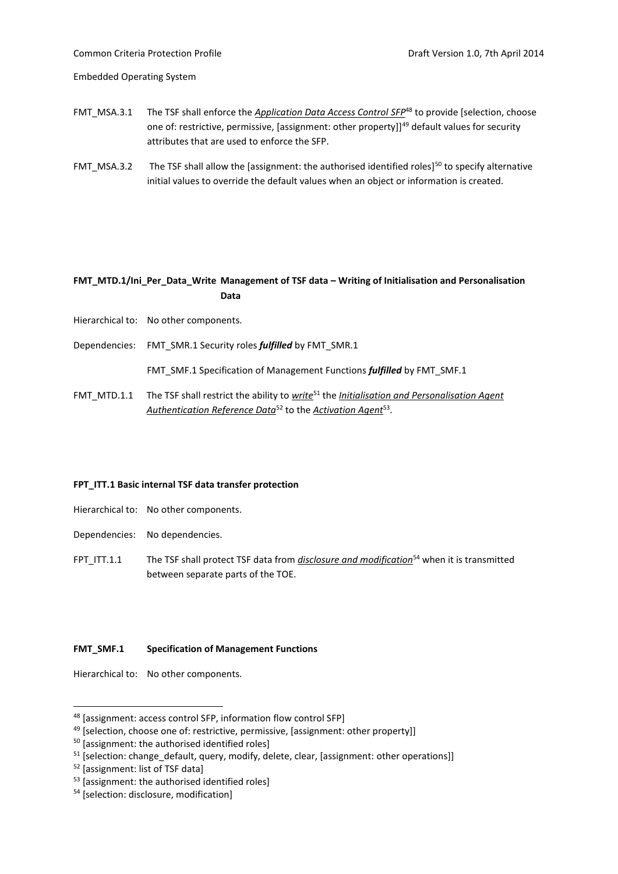Common Criteria Protection Profile Draft Version 1.0, 7th April 2014

Embedded Operating System

- FMT\_MSA.3.1 The TSF shall enforce the *Application Data Access Control SFP*<sup>48</sup> to provide [selection, choose one of: restrictive, permissive, [assignment: other property]]<sup>49</sup> default values for security attributes that are used to enforce the SFP.
- FMT\_MSA.3.2 The TSF shall allow the [assignment: the authorised identified roles]<sup>50</sup> to specify alternative initial values to override the default values when an object or information is created.

## **FMT\_MTD.1/Ini\_Per\_Data\_Write Management of TSF data – Writing of Initialisation and Personalisation Data**

- Hierarchical to: No other components.
- Dependencies: FMT\_SMR.1 Security roles *fulfilled* by FMT\_SMR.1

FMT\_SMF.1 Specification of Management Functions *fulfilled* by FMT\_SMF.1

FMT\_MTD.1.1 The TSF shall restrict the ability to *write*<sup>51</sup> the *Initialisation and Personalisation Agent Authentication Reference Data*<sup>52</sup> to the *Activation Agent*<sup>53</sup> .

## **FPT\_ITT.1 Basic internal TSF data transfer protection**

- Hierarchical to: No other components.
- Dependencies: No dependencies.
- FPT ITT.1.1 The TSF shall protect TSF data from *disclosure and modification*<sup>54</sup> when it is transmitted between separate parts of the TOE.

## **FMT\_SMF.1 Specification of Management Functions**

Hierarchical to: No other components.

1

<sup>48</sup> [assignment: access control SFP, information flow control SFP]

<sup>&</sup>lt;sup>49</sup> [selection, choose one of: restrictive, permissive, [assignment: other property]]

<sup>&</sup>lt;sup>50</sup> [assignment: the authorised identified roles]

 $51$  [selection: change default, query, modify, delete, clear, [assignment: other operations]]

<sup>52</sup> [assignment: list of TSF data]

<sup>&</sup>lt;sup>53</sup> [assignment: the authorised identified roles]

<sup>54</sup> [selection: disclosure, modification]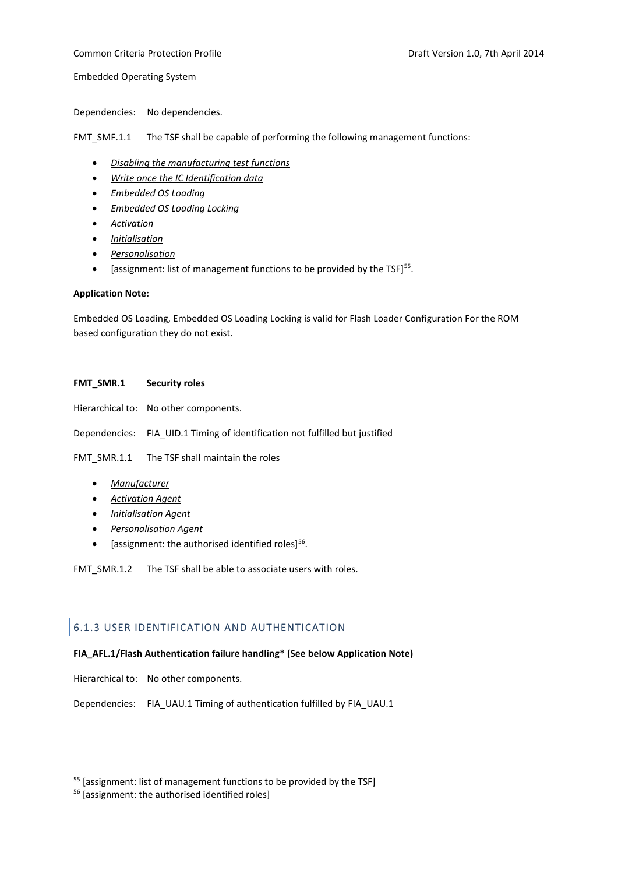Dependencies: No dependencies.

FMT\_SMF.1.1 The TSF shall be capable of performing the following management functions:

- *Disabling the manufacturing test functions*
- *Write once the IC Identification data*
- *Embedded OS Loading*
- *Embedded OS Loading Locking*
- *Activation*
- *Initialisation*
- *Personalisation*
- $\bullet$  [assignment: list of management functions to be provided by the TSF]<sup>55</sup>.

## **Application Note:**

Embedded OS Loading, Embedded OS Loading Locking is valid for Flash Loader Configuration For the ROM based configuration they do not exist.

## **FMT\_SMR.1 Security roles**

Hierarchical to: No other components.

Dependencies: FIA\_UID.1 Timing of identification not fulfilled but justified

FMT\_SMR.1.1 The TSF shall maintain the roles

- *Manufacturer*
- *Activation Agent*
- *Initialisation Agent*
- *Personalisation Agent*
- $\bullet$  [assignment: the authorised identified roles]<sup>56</sup>.

FMT\_SMR.1.2 The TSF shall be able to associate users with roles.

## <span id="page-31-0"></span>6.1.3 USER IDENTIFICATION AND AUTHENTICATION

## **FIA\_AFL.1/Flash Authentication failure handling\* (See below Application Note)**

Hierarchical to: No other components.

Dependencies: FIA\_UAU.1 Timing of authentication fulfilled by FIA\_UAU.1

<sup>&</sup>lt;sup>55</sup> [assignment: list of management functions to be provided by the TSF]

<sup>56</sup> [assignment: the authorised identified roles]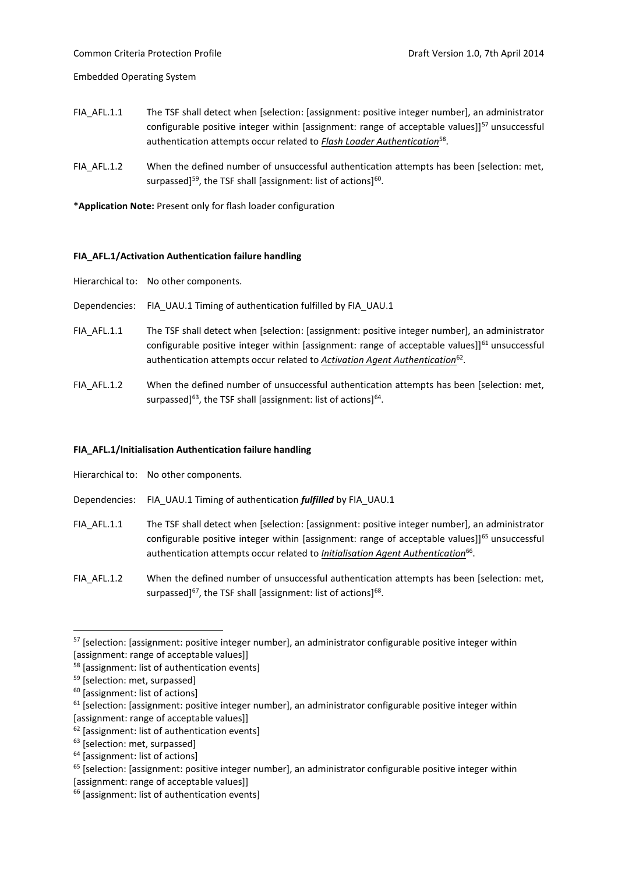- FIA\_AFL.1.1 The TSF shall detect when [selection: [assignment: positive integer number], an administrator configurable positive integer within [assignment: range of acceptable values]]<sup>57</sup> unsuccessful authentication attempts occur related to *Flash Loader Authentication*<sup>58</sup> .
- FIA\_AFL.1.2 When the defined number of unsuccessful authentication attempts has been [selection: met, surpassed]<sup>59</sup>, the TSF shall [assignment: list of actions]<sup>60</sup>.

**\*Application Note:** Present only for flash loader configuration

## **FIA\_AFL.1/Activation Authentication failure handling**

Hierarchical to: No other components.

- Dependencies: FIA\_UAU.1 Timing of authentication fulfilled by FIA\_UAU.1
- FIA AFL.1.1 The TSF shall detect when [selection: [assignment: positive integer number], an administrator configurable positive integer within [assignment: range of acceptable values]] $61$  unsuccessful authentication attempts occur related to **Activation Agent Authentication**<sup>62</sup>.
- FIA AFL.1.2 When the defined number of unsuccessful authentication attempts has been [selection: met, surpassed]<sup>63</sup>, the TSF shall [assignment: list of actions]<sup>64</sup>.

## **FIA\_AFL.1/Initialisation Authentication failure handling**

Hierarchical to: No other components.

- Dependencies: FIA\_UAU.1 Timing of authentication *fulfilled* by FIA\_UAU.1
- FIA AFL.1.1 The TSF shall detect when [selection: [assignment: positive integer number], an administrator configurable positive integer within [assignment: range of acceptable values]]<sup>65</sup> unsuccessful authentication attempts occur related to *Initialisation Agent Authentication*<sup>66</sup>.
- FIA AFL.1.2 When the defined number of unsuccessful authentication attempts has been [selection: met, surpassed]<sup>67</sup>, the TSF shall [assignment: list of actions]<sup>68</sup>.

<sup>57</sup> [selection: [assignment: positive integer number], an administrator configurable positive integer within [assignment: range of acceptable values]]

<sup>58</sup> [assignment: list of authentication events]

<sup>59</sup> [selection: met, surpassed]

<sup>60</sup> [assignment: list of actions]

 $61$  [selection: [assignment: positive integer number], an administrator configurable positive integer within [assignment: range of acceptable values]]

<sup>62</sup> [assignment: list of authentication events]

<sup>&</sup>lt;sup>63</sup> [selection: met, surpassed]

<sup>64</sup> [assignment: list of actions]

 $65$  [selection: [assignment: positive integer number], an administrator configurable positive integer within

<sup>[</sup>assignment: range of acceptable values]]

<sup>&</sup>lt;sup>66</sup> [assignment: list of authentication events]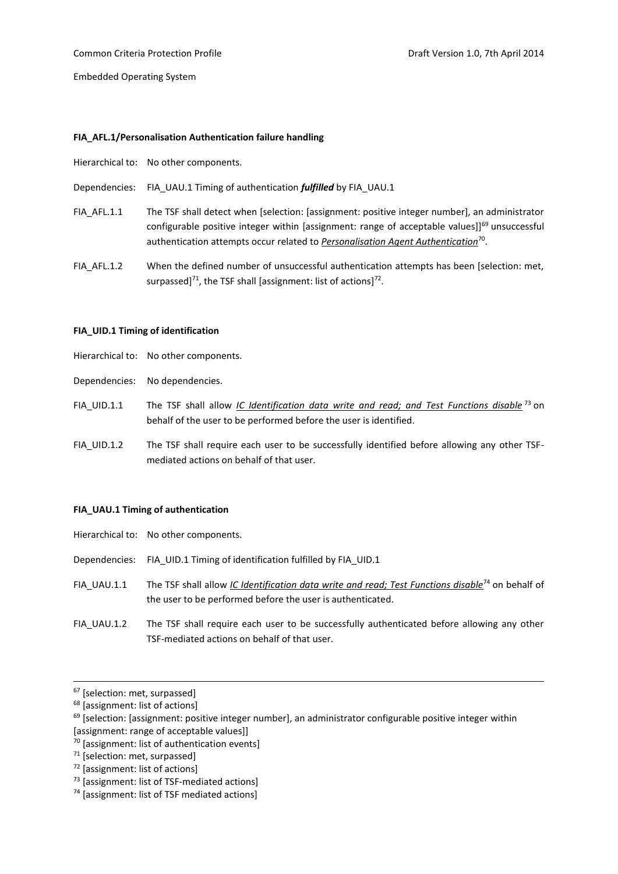## **FIA\_AFL.1/Personalisation Authentication failure handling**

Hierarchical to: No other components.

Dependencies: FIA\_UAU.1 Timing of authentication *fulfilled* by FIA\_UAU.1

- FIA AFL.1.1 The TSF shall detect when [selection: [assignment: positive integer number], an administrator configurable positive integer within [assignment: range of acceptable values]]<sup>69</sup> unsuccessful authentication attempts occur related to *Personalisation Agent Authentication*<sup>70</sup> .
- FIA\_AFL.1.2 When the defined number of unsuccessful authentication attempts has been [selection: met, surpassed] $^{71}$ , the TSF shall [assignment: list of actions] $^{72}$ .

#### **FIA\_UID.1 Timing of identification**

- Hierarchical to: No other components.
- Dependencies: No dependencies.
- FIA\_UID.1.1 The TSF shall allow *IC Identification data write and read; and Test Functions disable* <sup>73</sup> on behalf of the user to be performed before the user is identified.
- FIA UID.1.2 The TSF shall require each user to be successfully identified before allowing any other TSFmediated actions on behalf of that user.

#### **FIA\_UAU.1 Timing of authentication**

|             | Hierarchical to: No other components.                                                                                                                                      |
|-------------|----------------------------------------------------------------------------------------------------------------------------------------------------------------------------|
|             | Dependencies: FIA UID.1 Timing of identification fulfilled by FIA UID.1                                                                                                    |
| FIA UAU.1.1 | The TSF shall allow IC Identification data write and read; Test Functions disable <sup>74</sup> on behalf of<br>the user to be performed before the user is authenticated. |
| FIA UAU.1.2 | The TSF shall require each user to be successfully authenticated before allowing any other<br>TSF-mediated actions on behalf of that user.                                 |

<sup>&</sup>lt;sup>67</sup> [selection: met, surpassed]

 $\overline{a}$ 

- <sup>70</sup> [assignment: list of authentication events]
- <sup>71</sup> [selection: met, surpassed]
- <sup>72</sup> [assignment: list of actions]
- <sup>73</sup> [assignment: list of TSF-mediated actions]

<sup>68</sup> [assignment: list of actions]

 $69$  [selection: [assignment: positive integer number], an administrator configurable positive integer within [assignment: range of acceptable values]]

<sup>74</sup> [assignment: list of TSF mediated actions]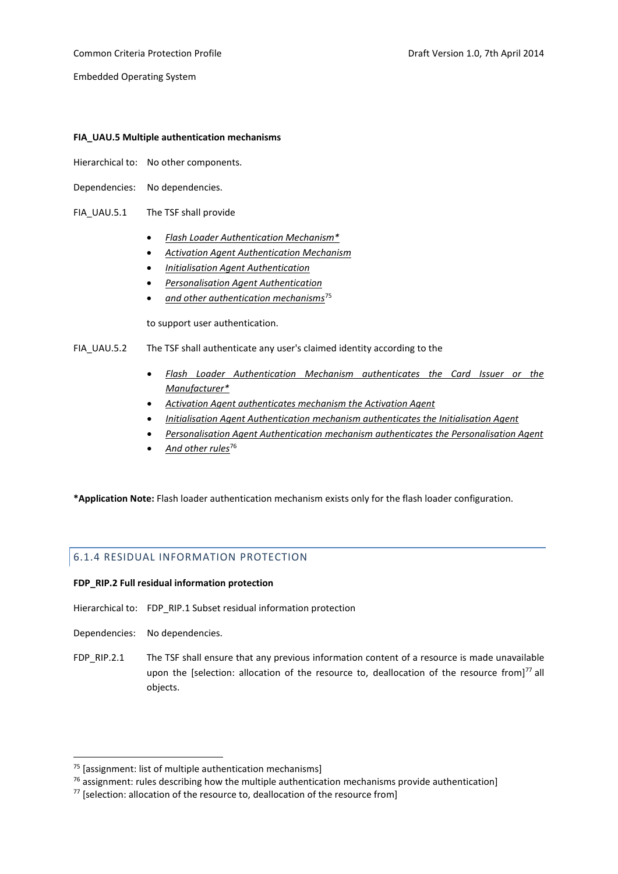Common Criteria Protection Profile **Common Criteria Professor According Profile** Draft Version 1.0, 7th April 2014

Embedded Operating System

## **FIA\_UAU.5 Multiple authentication mechanisms**

- Hierarchical to: No other components.
- Dependencies: No dependencies.
- FIA\_UAU.5.1 The TSF shall provide
	- *Flash Loader Authentication Mechanism\**
	- *Activation Agent Authentication Mechanism*
	- *Initialisation Agent Authentication*
	- *Personalisation Agent Authentication*
	- *and other authentication mechanisms*<sup>75</sup>

to support user authentication.

## FIA UAU.5.2 The TSF shall authenticate any user's claimed identity according to the

- *Flash Loader Authentication Mechanism authenticates the Card Issuer or the Manufacturer\**
- *Activation Agent authenticates mechanism the Activation Agent*
- *Initialisation Agent Authentication mechanism authenticates the Initialisation Agent*
- *Personalisation Agent Authentication mechanism authenticates the Personalisation Agent*
- *And other rules*<sup>76</sup>

**\*Application Note:** Flash loader authentication mechanism exists only for the flash loader configuration.

## <span id="page-34-0"></span>6.1.4 RESIDUAL INFORMATION PROTECTION

## **FDP\_RIP.2 Full residual information protection**

- Hierarchical to: FDP\_RIP.1 Subset residual information protection
- Dependencies: No dependencies.

<u>.</u>

FDP\_RIP.2.1 The TSF shall ensure that any previous information content of a resource is made unavailable upon the [selection: allocation of the resource to, deallocation of the resource from] $^{77}$  all objects.

 $75$  [assignment: list of multiple authentication mechanisms]

 $76$  assignment: rules describing how the multiple authentication mechanisms provide authentication]

 $77$  [selection: allocation of the resource to, deallocation of the resource from]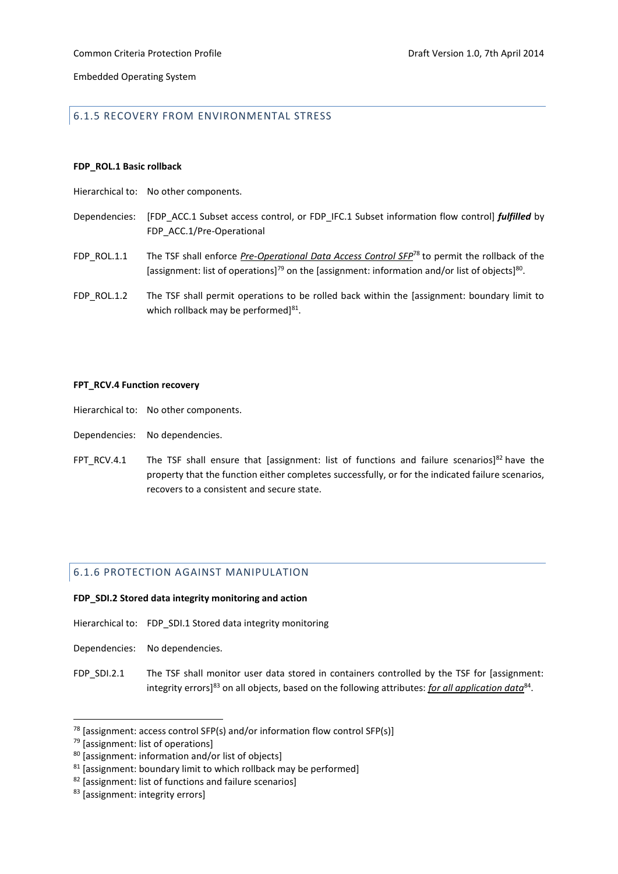## <span id="page-35-0"></span>6.1.5 RECOVERY FROM ENVIRONMENTAL STRESS

#### **FDP\_ROL.1 Basic rollback**

- Hierarchical to: No other components.
- Dependencies: [FDP\_ACC.1 Subset access control, or FDP\_IFC.1 Subset information flow control] *fulfilled* by FDP\_ACC.1/Pre-Operational
- FDP\_ROL.1.1 The TSF shall enforce *Pre-Operational Data Access Control SFP*<sup>78</sup> to permit the rollback of the [assignment: list of operations]<sup>79</sup> on the [assignment: information and/or list of objects]<sup>80</sup>.
- FDP\_ROL.1.2 The TSF shall permit operations to be rolled back within the [assignment: boundary limit to which rollback may be performed]<sup>81</sup>.

#### **FPT\_RCV.4 Function recovery**

- Hierarchical to: No other components.
- Dependencies: No dependencies.
- FPT\_RCV.4.1 The TSF shall ensure that [assignment: list of functions and failure scenarios]<sup>82</sup> have the property that the function either completes successfully, or for the indicated failure scenarios, recovers to a consistent and secure state.

## <span id="page-35-1"></span>6.1.6 PROTECTION AGAINST MANIPULATION

## **FDP\_SDI.2 Stored data integrity monitoring and action**

- Hierarchical to: FDP\_SDI.1 Stored data integrity monitoring
- Dependencies: No dependencies.
- FDP SDI.2.1 The TSF shall monitor user data stored in containers controlled by the TSF for [assignment: integrity errors]<sup>83</sup> on all objects, based on the following attributes: *for all application data*<sup>84</sup>.

 $78$  [assignment: access control SFP(s) and/or information flow control SFP(s)]

<sup>79 [</sup>assignment: list of operations]

<sup>80</sup> [assignment: information and/or list of objects]

 $81$  [assignment: boundary limit to which rollback may be performed]

<sup>82</sup> [assignment: list of functions and failure scenarios]

<sup>83 [</sup>assignment: integrity errors]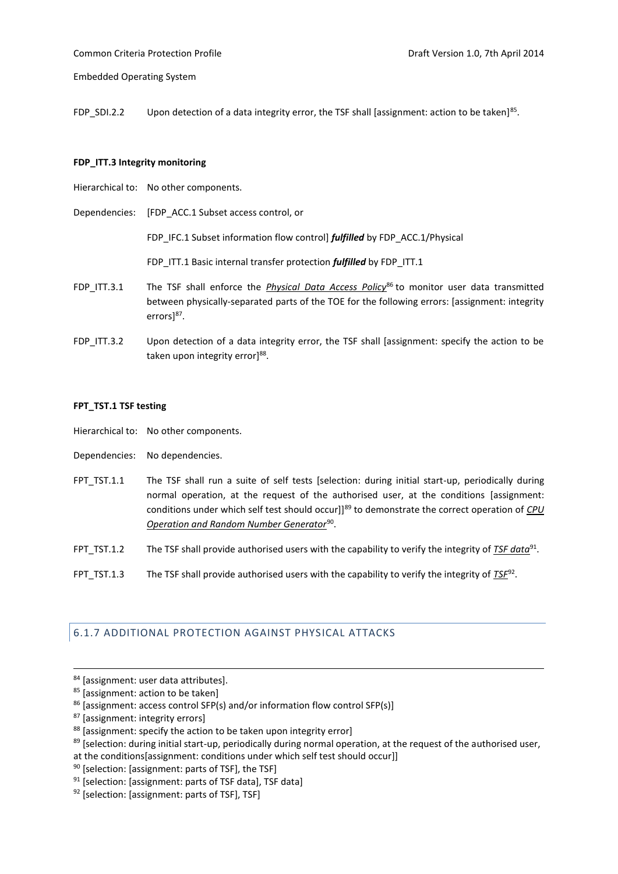FDP\_SDI.2.2 Upon detection of a data integrity error, the TSF shall [assignment: action to be taken]<sup>85</sup>.

#### **FDP\_ITT.3 Integrity monitoring**

- Hierarchical to: No other components.
- Dependencies: [FDP\_ACC.1 Subset access control, or

FDP IFC.1 Subset information flow control] *fulfilled* by FDP ACC.1/Physical

FDP\_ITT.1 Basic internal transfer protection *fulfilled* by FDP\_ITT.1

- FDP\_ITT.3.1 The TSF shall enforce the *Physical Data Access Policy*<sup>86</sup> to monitor user data transmitted between physically-separated parts of the TOE for the following errors: [assignment: integrity errors]<sup>87</sup>.
- FDP ITT.3.2 Upon detection of a data integrity error, the TSF shall [assignment: specify the action to be taken upon integrity error]<sup>88</sup>.

#### **FPT\_TST.1 TSF testing**

- Hierarchical to: No other components.
- Dependencies: No dependencies.
- FPT\_TST.1.1 The TSF shall run a suite of self tests [selection: during initial start-up, periodically during normal operation, at the request of the authorised user, at the conditions [assignment: conditions under which self test should occur]]<sup>89</sup> to demonstrate the correct operation of *CPU Operation and Random Number Generator*<sup>90</sup> .
- FPT\_TST.1.2 The TSF shall provide authorised users with the capability to verify the integrity of *TSF data*<sup>91</sup>.
- FPT\_TST.1.3 The TSF shall provide authorised users with the capability to verify the integrity of *TSF*<sup>92</sup>.

## <span id="page-36-0"></span>6.1.7 ADDITIONAL PROTECTION AGAINST PHYSICAL ATTACKS

 $\overline{a}$ 

- $89$  [selection: during initial start-up, periodically during normal operation, at the request of the authorised user,
- at the conditions[assignment: conditions under which self test should occur]]

<sup>84 [</sup>assignment: user data attributes].

<sup>85 [</sup>assignment: action to be taken]

<sup>86 [</sup>assignment: access control SFP(s) and/or information flow control SFP(s)]

<sup>87</sup> [assignment: integrity errors]

<sup>88 [</sup>assignment: specify the action to be taken upon integrity error]

<sup>&</sup>lt;sup>90</sup> [selection: [assignment: parts of TSF], the TSF]

<sup>91</sup> [selection: [assignment: parts of TSF data], TSF data]

<sup>92 [</sup>selection: [assignment: parts of TSF], TSF]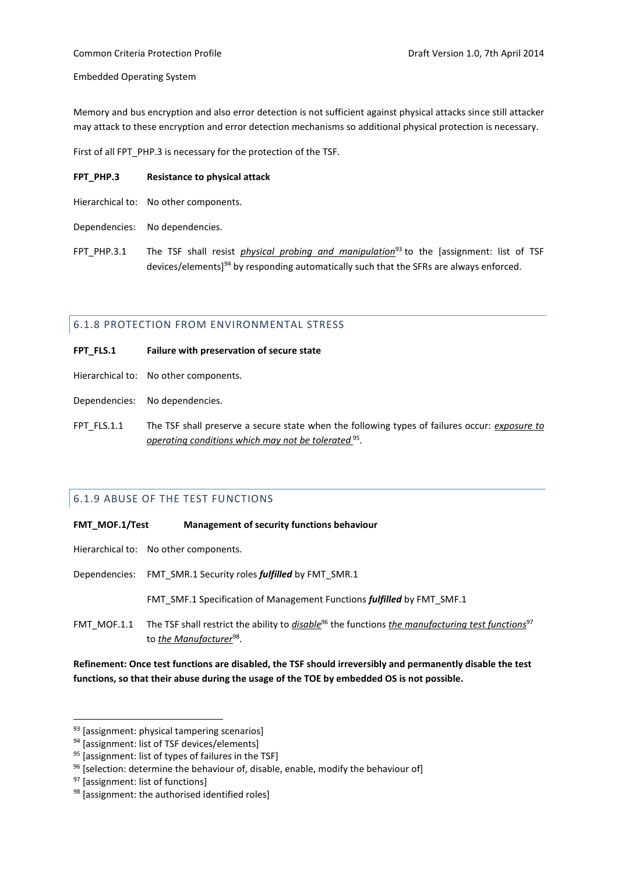## Common Criteria Protection Profile Draft Version 1.0, 7th April 2014

Embedded Operating System

Memory and bus encryption and also error detection is not sufficient against physical attacks since still attacker may attack to these encryption and error detection mechanisms so additional physical protection is necessary.

First of all FPT\_PHP.3 is necessary for the protection of the TSF.

## **FPT\_PHP.3 Resistance to physical attack**

- Hierarchical to: No other components.
- Dependencies: No dependencies.
- FPT PHP.3.1 The TSF shall resist *physical probing and manipulation*<sup>93</sup> to the [assignment: list of TSF devices/elements]<sup>94</sup> by responding automatically such that the SFRs are always enforced.

## <span id="page-37-0"></span>6.1.8 PROTECTION FROM ENVIRONMENTAL STRESS

- **FPT\_FLS.1 Failure with preservation of secure state**
- Hierarchical to: No other components.
- Dependencies: No dependencies.
- FPT\_FLS.1.1 The TSF shall preserve a secure state when the following types of failures occur: *exposure to operating conditions which may not be tolerated* <sup>95</sup> .

## <span id="page-37-1"></span>6.1.9 ABUSE OF THE TEST FUNCTIONS

**FMT\_MOF.1/Test Management of security functions behaviour**

Hierarchical to: No other components.

Dependencies: FMT\_SMR.1 Security roles *fulfilled* by FMT\_SMR.1

FMT\_SMF.1 Specification of Management Functions *fulfilled* by FMT\_SMF.1

FMT\_MOF.1.1 The TSF shall restrict the ability to *disable*<sup>96</sup> the functions *the manufacturing test functions*<sup>97</sup> to <u>the Manufacturer<sup>98</sup>.</u>

**Refinement: Once test functions are disabled, the TSF should irreversibly and permanently disable the test functions, so that their abuse during the usage of the TOE by embedded OS is not possible.**

<sup>93 [</sup>assignment: physical tampering scenarios]

<sup>&</sup>lt;sup>94</sup> [assignment: list of TSF devices/elements]

<sup>&</sup>lt;sup>95</sup> [assignment: list of types of failures in the TSF]

 $96$  [selection: determine the behaviour of, disable, enable, modify the behaviour of]

<sup>97 [</sup>assignment: list of functions]

<sup>98 [</sup>assignment: the authorised identified roles]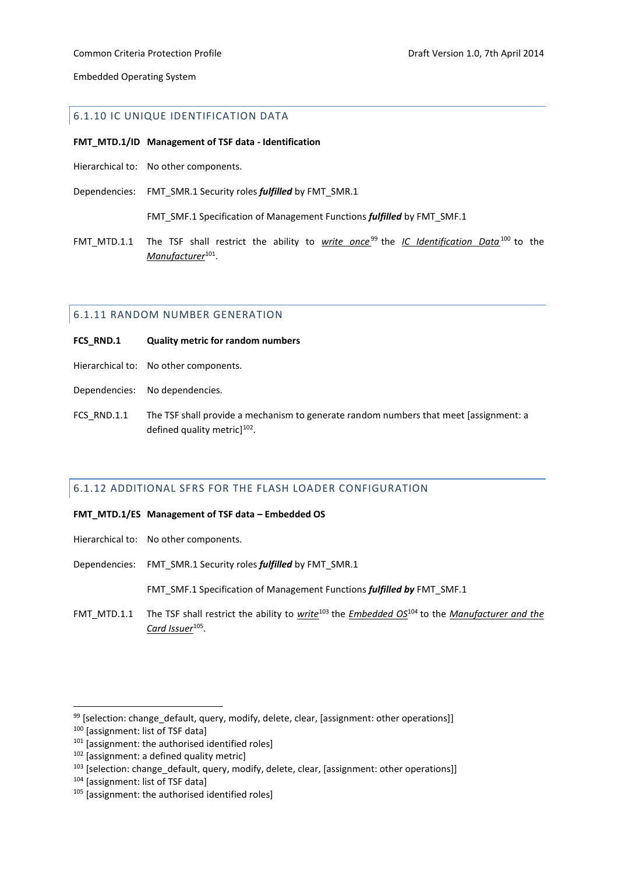## <span id="page-38-0"></span>6.1.10 IC UNIQUE IDENTIFICATION DATA

#### **FMT\_MTD.1/ID Management of TSF data - Identification**

- Hierarchical to: No other components.
- Dependencies: FMT\_SMR.1 Security roles *fulfilled* by FMT\_SMR.1

FMT\_SMF.1 Specification of Management Functions *fulfilled* by FMT\_SMF.1

FMT\_MTD.1.1 The TSF shall restrict the ability to *write once* <sup>99</sup> the *IC Identification Data*<sup>100</sup> to the *Manufacturer*<sup>101</sup> .

## <span id="page-38-1"></span>6.1.11 RANDOM NUMBER GENERATION

- **FCS\_RND.1 Quality metric for random numbers**
- Hierarchical to: No other components.
- Dependencies: No dependencies.
- FCS RND.1.1 The TSF shall provide a mechanism to generate random numbers that meet [assignment: a defined quality metric]<sup>102</sup>.

## <span id="page-38-2"></span>6.1.12 ADDITIONAL SFRS FOR THE FLASH LOADER CONFIGURATION

#### **FMT\_MTD.1/ES Management of TSF data – Embedded OS**

- Hierarchical to: No other components.
- Dependencies: FMT\_SMR.1 Security roles *fulfilled* by FMT\_SMR.1

FMT\_SMF.1 Specification of Management Functions *fulfilled by* FMT\_SMF.1

FMT\_MTD.1.1 The TSF shall restrict the ability to *write*<sup>103</sup> the *Embedded OS*<sup>104</sup> to the *Manufacturer and the Card Issuer*<sup>105</sup> .

1

 $99$  [selection: change default, query, modify, delete, clear, [assignment: other operations]]

<sup>100 [</sup>assignment: list of TSF data]

 $101$  [assignment: the authorised identified roles]

<sup>&</sup>lt;sup>102</sup> [assignment: a defined quality metric]

<sup>&</sup>lt;sup>103</sup> [selection: change default, query, modify, delete, clear, [assignment: other operations]]

<sup>104</sup> [assignment: list of TSF data]

<sup>105</sup> [assignment: the authorised identified roles]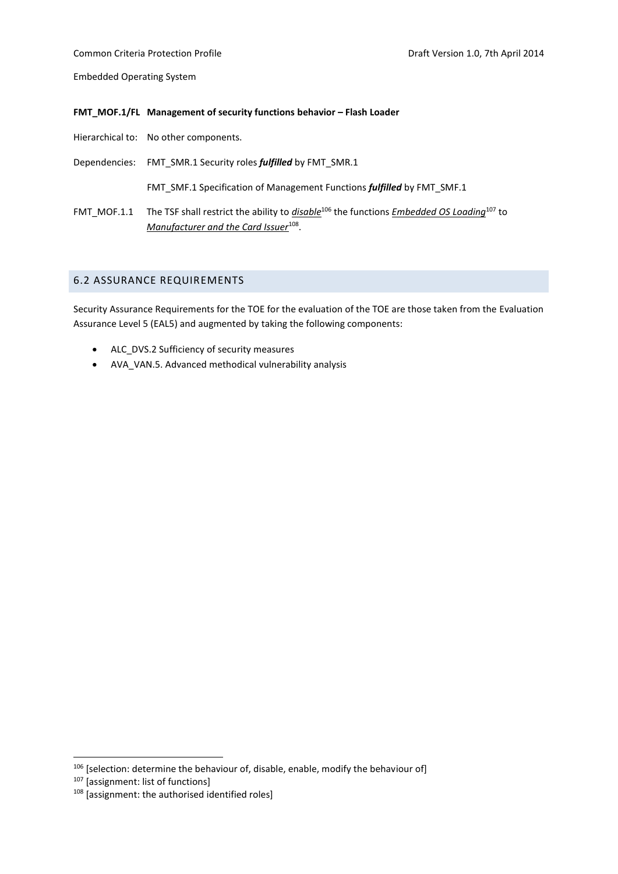#### **FMT\_MOF.1/FL Management of security functions behavior – Flash Loader**

Hierarchical to: No other components.

Dependencies: FMT\_SMR.1 Security roles *fulfilled* by FMT\_SMR.1

FMT\_SMF.1 Specification of Management Functions *fulfilled* by FMT\_SMF.1

FMT\_MOF.1.1 The TSF shall restrict the ability to *disable*<sup>106</sup> the functions *Embedded OS Loading*<sup>107</sup> to *Manufacturer and the Card Issuer*<sup>108</sup> .

## <span id="page-39-0"></span>6.2 ASSURANCE REQUIREMENTS

Security Assurance Requirements for the TOE for the evaluation of the TOE are those taken from the Evaluation Assurance Level 5 (EAL5) and augmented by taking the following components:

- ALC DVS.2 Sufficiency of security measures
- AVA\_VAN.5. Advanced methodical vulnerability analysis

<u>.</u>

 $106$  [selection: determine the behaviour of, disable, enable, modify the behaviour of]

<sup>&</sup>lt;sup>107</sup> [assignment: list of functions]

<sup>&</sup>lt;sup>108</sup> [assignment: the authorised identified roles]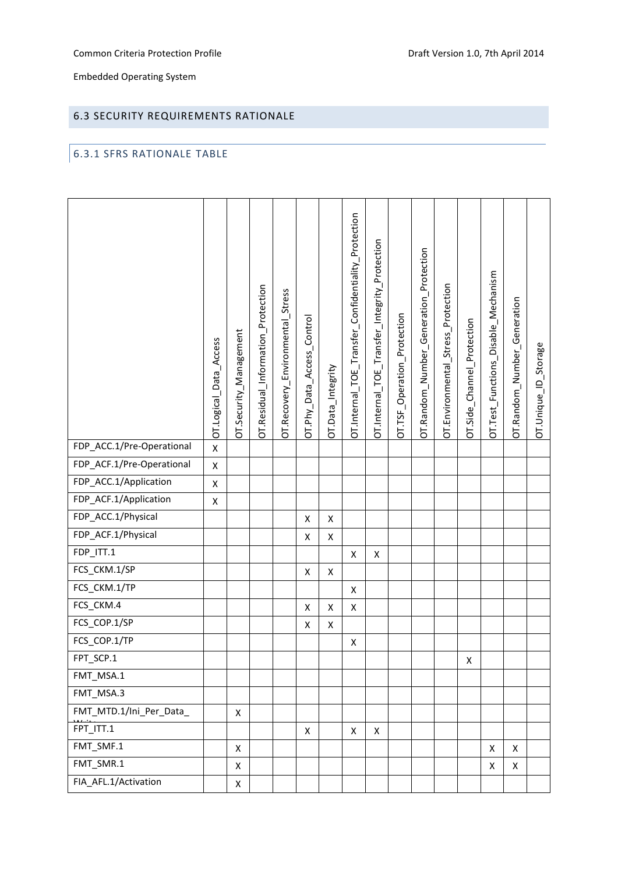## <span id="page-40-0"></span>6.3 SECURITY REQUIREMENTS RATIONALE

## <span id="page-40-1"></span>6.3.1 SFRS RATIONALE TABLE

|                           | OT.Logical_Data_Access | OT.Security_Management | OT.Residual_Information_Protection | OT.Recovery_Environmental_Stress | OT.Phy_Data_Access_Control | OT.Data_Integrity | OT.Internal_TOE_Transfer_Confidentiality_Protection | OT.Internal_TOE_Transfer_Integrity_Protection | OT.TSF_Operation_Protection | OT.Random_Number_Generation_Protection | OT.Environmental_Stress_Protection | OT.Side_Channel_Protection | OT.Test_Functions_Disable_Mechanism | OT.Random_Number_Generation | OT.Unique_ID_Storage |
|---------------------------|------------------------|------------------------|------------------------------------|----------------------------------|----------------------------|-------------------|-----------------------------------------------------|-----------------------------------------------|-----------------------------|----------------------------------------|------------------------------------|----------------------------|-------------------------------------|-----------------------------|----------------------|
| FDP_ACC.1/Pre-Operational | $\pmb{\mathsf{X}}$     |                        |                                    |                                  |                            |                   |                                                     |                                               |                             |                                        |                                    |                            |                                     |                             |                      |
| FDP_ACF.1/Pre-Operational | $\pmb{\mathsf{X}}$     |                        |                                    |                                  |                            |                   |                                                     |                                               |                             |                                        |                                    |                            |                                     |                             |                      |
| FDP_ACC.1/Application     | $\pmb{\mathsf{X}}$     |                        |                                    |                                  |                            |                   |                                                     |                                               |                             |                                        |                                    |                            |                                     |                             |                      |
| FDP_ACF.1/Application     | X                      |                        |                                    |                                  |                            |                   |                                                     |                                               |                             |                                        |                                    |                            |                                     |                             |                      |
| FDP_ACC.1/Physical        |                        |                        |                                    |                                  | Χ                          | X                 |                                                     |                                               |                             |                                        |                                    |                            |                                     |                             |                      |
| FDP_ACF.1/Physical        |                        |                        |                                    |                                  | X                          | X                 |                                                     |                                               |                             |                                        |                                    |                            |                                     |                             |                      |
| $FDP_ITT.1$               |                        |                        |                                    |                                  |                            |                   | $\pmb{\mathsf{X}}$                                  | X                                             |                             |                                        |                                    |                            |                                     |                             |                      |
| FCS_CKM.1/SP              |                        |                        |                                    |                                  | Χ                          | X                 |                                                     |                                               |                             |                                        |                                    |                            |                                     |                             |                      |
| FCS_CKM.1/TP              |                        |                        |                                    |                                  |                            |                   | X                                                   |                                               |                             |                                        |                                    |                            |                                     |                             |                      |
| FCS_CKM.4                 |                        |                        |                                    |                                  | X                          | X                 | X                                                   |                                               |                             |                                        |                                    |                            |                                     |                             |                      |
| FCS_COP.1/SP              |                        |                        |                                    |                                  | X                          | X                 |                                                     |                                               |                             |                                        |                                    |                            |                                     |                             |                      |
| FCS_COP.1/TP              |                        |                        |                                    |                                  |                            |                   | X                                                   |                                               |                             |                                        |                                    |                            |                                     |                             |                      |
| FPT_SCP.1                 |                        |                        |                                    |                                  |                            |                   |                                                     |                                               |                             |                                        |                                    | X                          |                                     |                             |                      |
| FMT_MSA.1                 |                        |                        |                                    |                                  |                            |                   |                                                     |                                               |                             |                                        |                                    |                            |                                     |                             |                      |
| FMT_MSA.3                 |                        |                        |                                    |                                  |                            |                   |                                                     |                                               |                             |                                        |                                    |                            |                                     |                             |                      |
| FMT_MTD.1/Ini_Per_Data_   |                        | X                      |                                    |                                  |                            |                   |                                                     |                                               |                             |                                        |                                    |                            |                                     |                             |                      |
| FPT ITT.1                 |                        |                        |                                    |                                  | X                          |                   | X                                                   | X                                             |                             |                                        |                                    |                            |                                     |                             |                      |
| FMT_SMF.1                 |                        | Χ                      |                                    |                                  |                            |                   |                                                     |                                               |                             |                                        |                                    |                            | X                                   | X                           |                      |
| FMT_SMR.1                 |                        | X                      |                                    |                                  |                            |                   |                                                     |                                               |                             |                                        |                                    |                            | X                                   | X                           |                      |
| FIA_AFL.1/Activation      |                        | X                      |                                    |                                  |                            |                   |                                                     |                                               |                             |                                        |                                    |                            |                                     |                             |                      |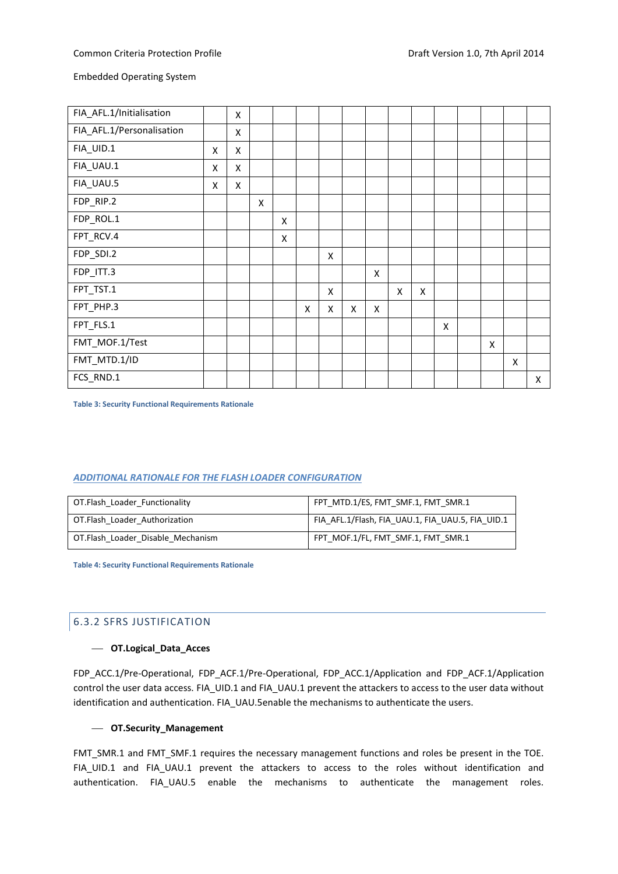| FIA_AFL.1/Initialisation  |   | X                  |   |   |   |   |   |   |   |   |   |   |   |   |
|---------------------------|---|--------------------|---|---|---|---|---|---|---|---|---|---|---|---|
| FIA_AFL.1/Personalisation |   | X                  |   |   |   |   |   |   |   |   |   |   |   |   |
| FIA_UID.1                 | X | $\pmb{\mathsf{X}}$ |   |   |   |   |   |   |   |   |   |   |   |   |
| FIA_UAU.1                 | X | $\pmb{\mathsf{X}}$ |   |   |   |   |   |   |   |   |   |   |   |   |
| FIA_UAU.5                 | X | X                  |   |   |   |   |   |   |   |   |   |   |   |   |
| FDP_RIP.2                 |   |                    | X |   |   |   |   |   |   |   |   |   |   |   |
| FDP_ROL.1                 |   |                    |   | X |   |   |   |   |   |   |   |   |   |   |
| FPT_RCV.4                 |   |                    |   | X |   |   |   |   |   |   |   |   |   |   |
| FDP_SDI.2                 |   |                    |   |   |   | X |   |   |   |   |   |   |   |   |
| FDP_ITT.3                 |   |                    |   |   |   |   |   | X |   |   |   |   |   |   |
| FPT_TST.1                 |   |                    |   |   |   | X |   |   | X | X |   |   |   |   |
| FPT_PHP.3                 |   |                    |   |   | Χ | X | Χ | X |   |   |   |   |   |   |
| FPT_FLS.1                 |   |                    |   |   |   |   |   |   |   |   | X |   |   |   |
| FMT_MOF.1/Test            |   |                    |   |   |   |   |   |   |   |   |   | X |   |   |
| FMT_MTD.1/ID              |   |                    |   |   |   |   |   |   |   |   |   |   | X |   |
| FCS_RND.1                 |   |                    |   |   |   |   |   |   |   |   |   |   |   | X |

<span id="page-41-1"></span>**Table 3: Security Functional Requirements Rationale**

#### *ADDITIONAL RATIONALE FOR THE FLASH LOADER CONFIGURATION*

| OT.Flash Loader Functionality     | FPT MTD.1/ES, FMT SMF.1, FMT SMR.1               |
|-----------------------------------|--------------------------------------------------|
| OT.Flash Loader Authorization     | FIA AFL.1/Flash, FIA UAU.1, FIA UAU.5, FIA UID.1 |
| OT.Flash Loader Disable Mechanism | FPT MOF.1/FL, FMT_SMF.1, FMT_SMR.1               |

<span id="page-41-2"></span>**Table 4: Security Functional Requirements Rationale**

## <span id="page-41-0"></span>6.3.2 SFRS JUSTIFICATION

#### **OT.Logical\_Data\_Acces**

FDP\_ACC.1/Pre-Operational, FDP\_ACF.1/Pre-Operational, FDP\_ACC.1/Application and FDP\_ACF.1/Application control the user data access. FIA\_UID.1 and FIA\_UAU.1 prevent the attackers to access to the user data without identification and authentication. FIA\_UAU.5enable the mechanisms to authenticate the users.

## **OT.Security\_Management**

FMT\_SMR.1 and FMT\_SMF.1 requires the necessary management functions and roles be present in the TOE. FIA\_UID.1 and FIA\_UAU.1 prevent the attackers to access to the roles without identification and authentication. FIA\_UAU.5 enable the mechanisms to authenticate the management roles.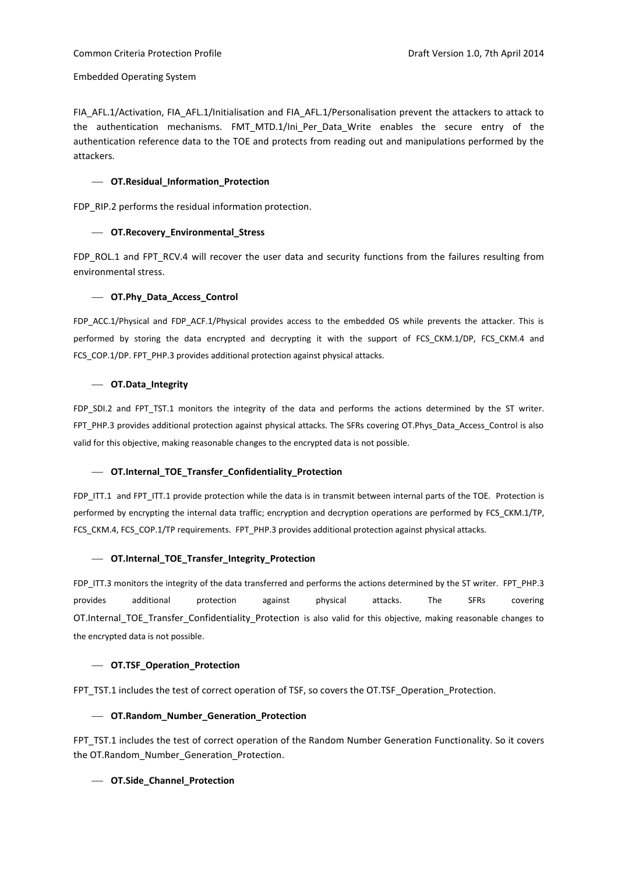FIA\_AFL.1/Activation, FIA\_AFL.1/Initialisation and FIA\_AFL.1/Personalisation prevent the attackers to attack to the authentication mechanisms. FMT\_MTD.1/Ini\_Per\_Data\_Write enables the secure entry of the authentication reference data to the TOE and protects from reading out and manipulations performed by the attackers.

## **OT.Residual\_Information\_Protection**

FDP\_RIP.2 performs the residual information protection.

## **OT.Recovery\_Environmental\_Stress**

FDP\_ROL.1 and FPT\_RCV.4 will recover the user data and security functions from the failures resulting from environmental stress.

## **OT.Phy\_Data\_Access\_Control**

FDP\_ACC.1/Physical and FDP\_ACF.1/Physical provides access to the embedded OS while prevents the attacker. This is performed by storing the data encrypted and decrypting it with the support of FCS CKM.1/DP, FCS CKM.4 and FCS\_COP.1/DP. FPT\_PHP.3 provides additional protection against physical attacks.

## **OT.Data\_Integrity**

FDP SDI.2 and FPT TST.1 monitors the integrity of the data and performs the actions determined by the ST writer. FPT\_PHP.3 provides additional protection against physical attacks. The SFRs covering OT.Phys\_Data\_Access\_Control is also valid for this objective, making reasonable changes to the encrypted data is not possible.

## **OT.Internal\_TOE\_Transfer\_Confidentiality\_Protection**

FDP\_ITT.1 and FPT\_ITT.1 provide protection while the data is in transmit between internal parts of the TOE. Protection is performed by encrypting the internal data traffic; encryption and decryption operations are performed by FCS\_CKM.1/TP, FCS\_CKM.4, FCS\_COP.1/TP requirements. FPT\_PHP.3 provides additional protection against physical attacks.

## **OT.Internal\_TOE\_Transfer\_Integrity\_Protection**

FDP\_ITT.3 monitors the integrity of the data transferred and performs the actions determined by the ST writer. FPT\_PHP.3 provides additional protection against physical attacks. The SFRs covering OT.Internal TOE Transfer Confidentiality Protection is also valid for this objective, making reasonable changes to the encrypted data is not possible.

## **OT.TSF\_Operation\_Protection**

FPT\_TST.1 includes the test of correct operation of TSF, so covers the OT.TSF\_Operation\_Protection.

## **OT.Random\_Number\_Generation\_Protection**

FPT\_TST.1 includes the test of correct operation of the Random Number Generation Functionality. So it covers the OT.Random\_Number\_Generation\_Protection.

## **OT.Side\_Channel\_Protection**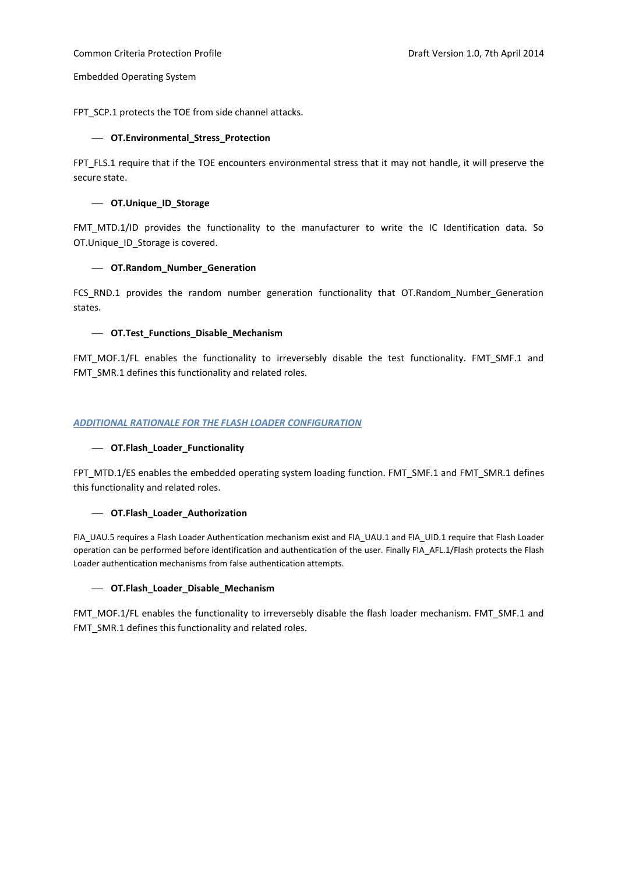FPT\_SCP.1 protects the TOE from side channel attacks.

## **OT.Environmental\_Stress\_Protection**

FPT\_FLS.1 require that if the TOE encounters environmental stress that it may not handle, it will preserve the secure state.

## **OT.Unique\_ID\_Storage**

FMT MTD.1/ID provides the functionality to the manufacturer to write the IC Identification data. So OT.Unique\_ID\_Storage is covered.

## **OT.Random\_Number\_Generation**

FCS\_RND.1 provides the random number generation functionality that OT.Random\_Number\_Generation states.

## **OT.Test\_Functions\_Disable\_Mechanism**

FMT\_MOF.1/FL enables the functionality to irreversebly disable the test functionality. FMT\_SMF.1 and FMT\_SMR.1 defines this functionality and related roles.

## *ADDITIONAL RATIONALE FOR THE FLASH LOADER CONFIGURATION*

## **OT.Flash\_Loader\_Functionality**

FPT\_MTD.1/ES enables the embedded operating system loading function. FMT\_SMF.1 and FMT\_SMR.1 defines this functionality and related roles.

#### **OT.Flash\_Loader\_Authorization**

FIA\_UAU.5 requires a Flash Loader Authentication mechanism exist and FIA\_UAU.1 and FIA\_UID.1 require that Flash Loader operation can be performed before identification and authentication of the user. Finally FIA\_AFL.1/Flash protects the Flash Loader authentication mechanisms from false authentication attempts.

## **OT.Flash\_Loader\_Disable\_Mechanism**

FMT\_MOF.1/FL enables the functionality to irreversebly disable the flash loader mechanism. FMT\_SMF.1 and FMT\_SMR.1 defines this functionality and related roles.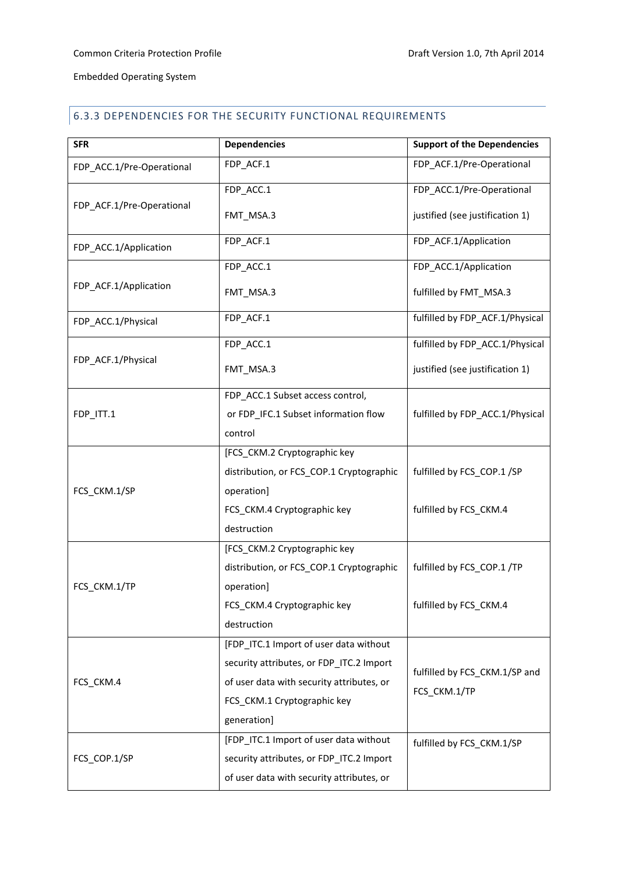# <span id="page-44-0"></span>6.3.3 DEPENDENCIES FOR THE SECURITY FUNCTIONAL REQUIREMENTS

| <b>SFR</b>                | <b>Dependencies</b>                       | <b>Support of the Dependencies</b> |
|---------------------------|-------------------------------------------|------------------------------------|
| FDP_ACC.1/Pre-Operational | FDP_ACF.1                                 | FDP_ACF.1/Pre-Operational          |
|                           | FDP_ACC.1                                 | FDP_ACC.1/Pre-Operational          |
| FDP_ACF.1/Pre-Operational | FMT_MSA.3                                 | justified (see justification 1)    |
| FDP_ACC.1/Application     | FDP_ACF.1                                 | FDP_ACF.1/Application              |
|                           | FDP_ACC.1                                 | FDP_ACC.1/Application              |
| FDP_ACF.1/Application     | FMT_MSA.3                                 | fulfilled by FMT_MSA.3             |
| FDP_ACC.1/Physical        | FDP_ACF.1                                 | fulfilled by FDP_ACF.1/Physical    |
|                           | FDP_ACC.1                                 | fulfilled by FDP_ACC.1/Physical    |
| FDP_ACF.1/Physical        | FMT_MSA.3                                 | justified (see justification 1)    |
|                           | FDP_ACC.1 Subset access control,          |                                    |
| FDP_ITT.1                 | or FDP_IFC.1 Subset information flow      | fulfilled by FDP_ACC.1/Physical    |
|                           | control                                   |                                    |
|                           | [FCS_CKM.2 Cryptographic key              |                                    |
|                           | distribution, or FCS_COP.1 Cryptographic  | fulfilled by FCS_COP.1 /SP         |
| FCS_CKM.1/SP              | operation]                                |                                    |
|                           | FCS_CKM.4 Cryptographic key               | fulfilled by FCS_CKM.4             |
|                           | destruction                               |                                    |
|                           | [FCS_CKM.2 Cryptographic key              |                                    |
|                           | distribution, or FCS_COP.1 Cryptographic  | fulfilled by FCS COP.1 /TP         |
| FCS CKM.1/TP              | operation]                                |                                    |
|                           | FCS_CKM.4 Cryptographic key               | fulfilled by FCS_CKM.4             |
|                           | destruction                               |                                    |
|                           | [FDP_ITC.1 Import of user data without    |                                    |
| FCS_CKM.4                 | security attributes, or FDP_ITC.2 Import  |                                    |
|                           | of user data with security attributes, or | fulfilled by FCS_CKM.1/SP and      |
|                           | FCS_CKM.1 Cryptographic key               | FCS CKM.1/TP                       |
|                           | generation]                               |                                    |
|                           | [FDP_ITC.1 Import of user data without    | fulfilled by FCS_CKM.1/SP          |
| FCS_COP.1/SP              | security attributes, or FDP_ITC.2 Import  |                                    |
|                           | of user data with security attributes, or |                                    |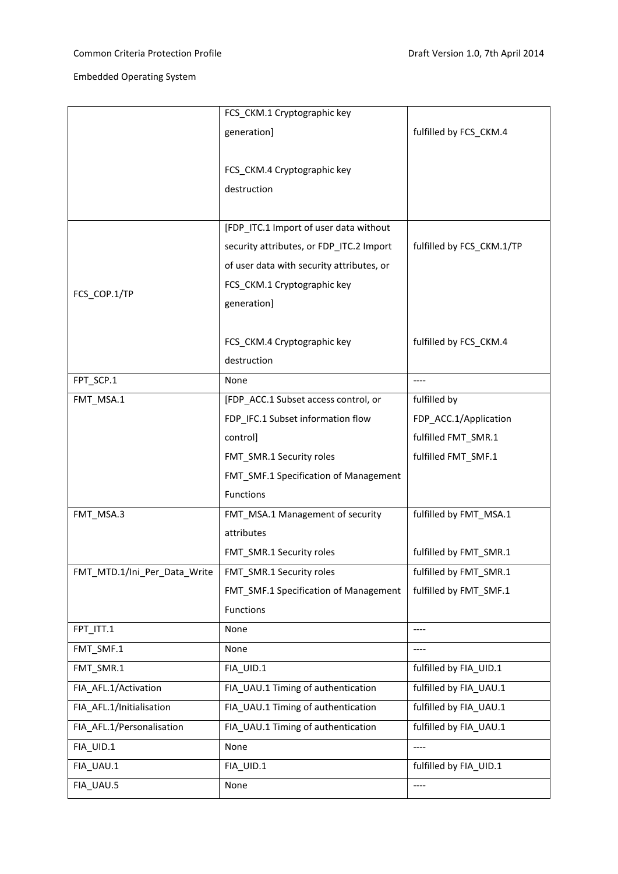|                              | FCS_CKM.1 Cryptographic key               |                           |
|------------------------------|-------------------------------------------|---------------------------|
|                              | generation]                               | fulfilled by FCS_CKM.4    |
|                              |                                           |                           |
|                              | FCS_CKM.4 Cryptographic key               |                           |
|                              | destruction                               |                           |
|                              | [FDP_ITC.1 Import of user data without    |                           |
|                              | security attributes, or FDP_ITC.2 Import  | fulfilled by FCS_CKM.1/TP |
|                              | of user data with security attributes, or |                           |
|                              |                                           |                           |
| FCS_COP.1/TP                 | FCS_CKM.1 Cryptographic key               |                           |
|                              | generation]                               |                           |
|                              | FCS_CKM.4 Cryptographic key               | fulfilled by FCS_CKM.4    |
|                              | destruction                               |                           |
|                              |                                           |                           |
| FPT_SCP.1                    | None                                      | $--- -$                   |
| FMT_MSA.1                    | [FDP_ACC.1 Subset access control, or      | fulfilled by              |
|                              | FDP_IFC.1 Subset information flow         | FDP_ACC.1/Application     |
|                              | control]                                  | fulfilled FMT_SMR.1       |
|                              | FMT_SMR.1 Security roles                  | fulfilled FMT_SMF.1       |
|                              | FMT_SMF.1 Specification of Management     |                           |
|                              | Functions                                 |                           |
| FMT_MSA.3                    | FMT_MSA.1 Management of security          | fulfilled by FMT MSA.1    |
|                              | attributes                                |                           |
|                              | FMT_SMR.1 Security roles                  | fulfilled by FMT_SMR.1    |
| FMT_MTD.1/Ini_Per_Data_Write | FMT_SMR.1 Security roles                  | fulfilled by FMT_SMR.1    |
|                              | FMT_SMF.1 Specification of Management     | fulfilled by FMT SMF.1    |
|                              | <b>Functions</b>                          |                           |
| FPT_ITT.1                    | None                                      | ----                      |
| FMT_SMF.1                    | None                                      | $---$                     |
| FMT_SMR.1                    | FIA_UID.1                                 | fulfilled by FIA_UID.1    |
| FIA_AFL.1/Activation         | FIA_UAU.1 Timing of authentication        | fulfilled by FIA UAU.1    |
| FIA_AFL.1/Initialisation     | FIA_UAU.1 Timing of authentication        | fulfilled by FIA_UAU.1    |
| FIA_AFL.1/Personalisation    | FIA_UAU.1 Timing of authentication        | fulfilled by FIA_UAU.1    |
| FIA_UID.1                    | None                                      | ----                      |
| FIA_UAU.1                    | FIA_UID.1                                 | fulfilled by FIA_UID.1    |
| FIA_UAU.5                    | None                                      | ----                      |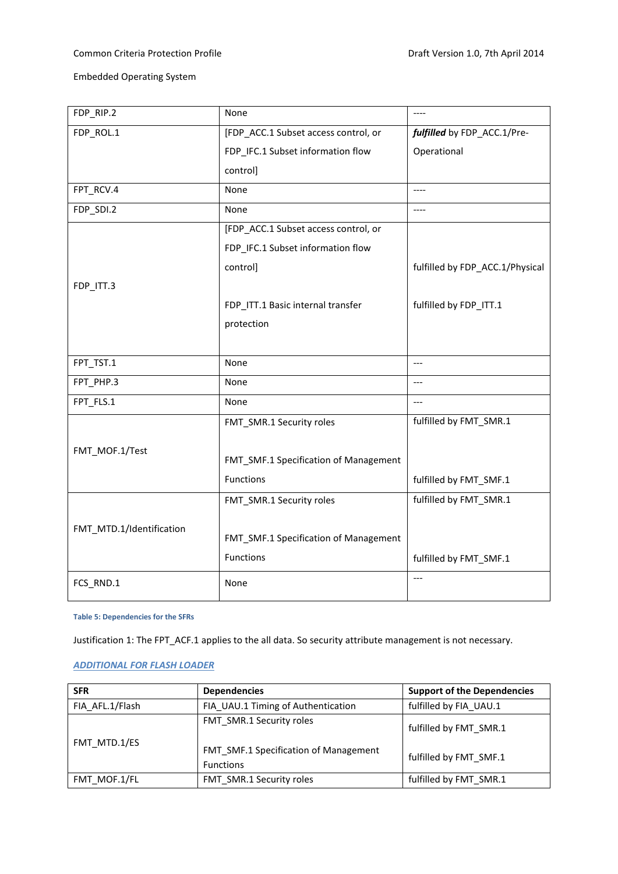| FDP_RIP.2                | None                                  | $---$                           |
|--------------------------|---------------------------------------|---------------------------------|
| FDP_ROL.1                | [FDP_ACC.1 Subset access control, or  | fulfilled by FDP_ACC.1/Pre-     |
|                          | FDP_IFC.1 Subset information flow     | Operational                     |
|                          | control]                              |                                 |
| FPT_RCV.4                | None                                  | $- - - -$                       |
| FDP_SDI.2                | None                                  | ----                            |
|                          | [FDP_ACC.1 Subset access control, or  |                                 |
|                          | FDP_IFC.1 Subset information flow     |                                 |
|                          | control]                              | fulfilled by FDP_ACC.1/Physical |
| FDP_ITT.3                |                                       |                                 |
|                          | FDP_ITT.1 Basic internal transfer     | fulfilled by FDP_ITT.1          |
|                          | protection                            |                                 |
|                          |                                       |                                 |
| FPT_TST.1                | None                                  | $---$                           |
| FPT_PHP.3                | None                                  | $---$                           |
| FPT_FLS.1                | None                                  | $---$                           |
|                          | FMT_SMR.1 Security roles              | fulfilled by FMT_SMR.1          |
| FMT_MOF.1/Test           |                                       |                                 |
|                          | FMT_SMF.1 Specification of Management |                                 |
|                          | <b>Functions</b>                      | fulfilled by FMT_SMF.1          |
|                          | FMT_SMR.1 Security roles              | fulfilled by FMT_SMR.1          |
|                          |                                       |                                 |
| FMT_MTD.1/Identification | FMT_SMF.1 Specification of Management |                                 |
|                          | Functions                             | fulfilled by FMT_SMF.1          |
| FCS_RND.1                | None                                  | $---$                           |
|                          |                                       |                                 |

<span id="page-46-0"></span>**Table 5: Dependencies for the SFRs**

Justification 1: The FPT\_ACF.1 applies to the all data. So security attribute management is not necessary.

## *ADDITIONAL FOR FLASH LOADER*

| <b>SFR</b>      | <b>Dependencies</b>                                       | <b>Support of the Dependencies</b> |
|-----------------|-----------------------------------------------------------|------------------------------------|
| FIA AFL.1/Flash | FIA UAU.1 Timing of Authentication                        | fulfilled by FIA UAU.1             |
|                 | FMT SMR.1 Security roles                                  | fulfilled by FMT SMR.1             |
| FMT MTD.1/ES    | FMT SMF.1 Specification of Management<br><b>Functions</b> | fulfilled by FMT SMF.1             |
| FMT MOF.1/FL    | FMT SMR.1 Security roles                                  | fulfilled by FMT SMR.1             |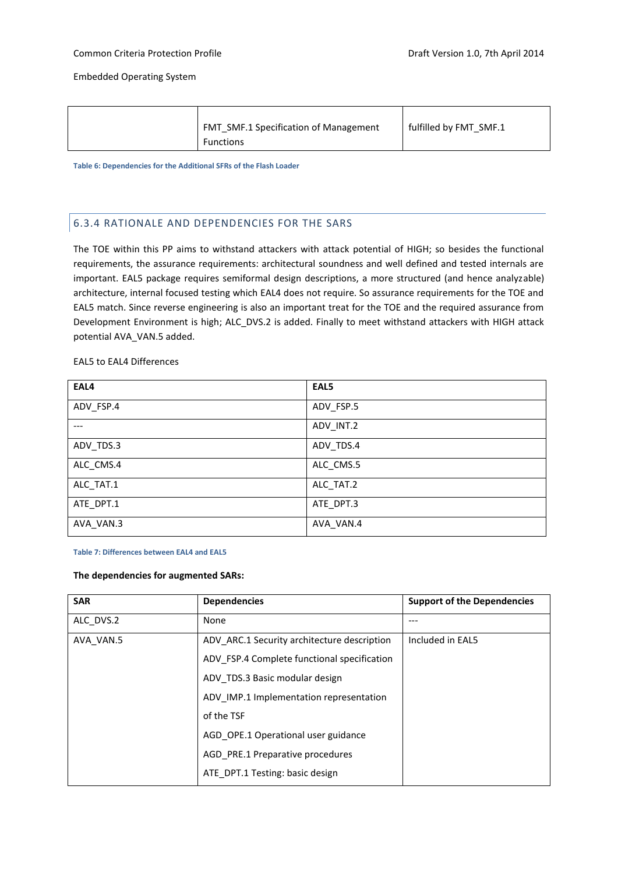| Functions |  | <b>FMT SMF.1 Specification of Management</b> | fulfilled by FMT SMF.1 |
|-----------|--|----------------------------------------------|------------------------|
|-----------|--|----------------------------------------------|------------------------|

<span id="page-47-1"></span>**Table 6: Dependencies for the Additional SFRs of the Flash Loader**

## <span id="page-47-0"></span>6.3.4 RATIONALE AND DEPENDENCIES FOR THE SARS

The TOE within this PP aims to withstand attackers with attack potential of HIGH; so besides the functional requirements, the assurance requirements: architectural soundness and well defined and tested internals are important. EAL5 package requires semiformal design descriptions, a more structured (and hence analyzable) architecture, internal focused testing which EAL4 does not require. So assurance requirements for the TOE and EAL5 match. Since reverse engineering is also an important treat for the TOE and the required assurance from Development Environment is high; ALC\_DVS.2 is added. Finally to meet withstand attackers with HIGH attack potential AVA\_VAN.5 added.

## EAL5 to EAL4 Differences

| EAL4      | EAL5      |
|-----------|-----------|
| ADV_FSP.4 | ADV_FSP.5 |
|           | ADV_INT.2 |
| ADV_TDS.3 | ADV_TDS.4 |
| ALC_CMS.4 | ALC_CMS.5 |
| ALC_TAT.1 | ALC_TAT.2 |
| ATE_DPT.1 | ATE_DPT.3 |
| AVA_VAN.3 | AVA_VAN.4 |

#### <span id="page-47-2"></span>**Table 7: Differences between EAL4 and EAL5**

#### **The dependencies for augmented SARs:**

| <b>SAR</b> | <b>Dependencies</b>                         | <b>Support of the Dependencies</b> |
|------------|---------------------------------------------|------------------------------------|
| ALC DVS.2  | None                                        |                                    |
| AVA VAN.5  | ADV_ARC.1 Security architecture description | Included in EAL5                   |
|            | ADV FSP.4 Complete functional specification |                                    |
|            | ADV TDS.3 Basic modular design              |                                    |
|            | ADV IMP.1 Implementation representation     |                                    |
|            | of the TSF                                  |                                    |
|            | AGD OPE.1 Operational user guidance         |                                    |
|            | AGD PRE.1 Preparative procedures            |                                    |
|            | ATE DPT.1 Testing: basic design             |                                    |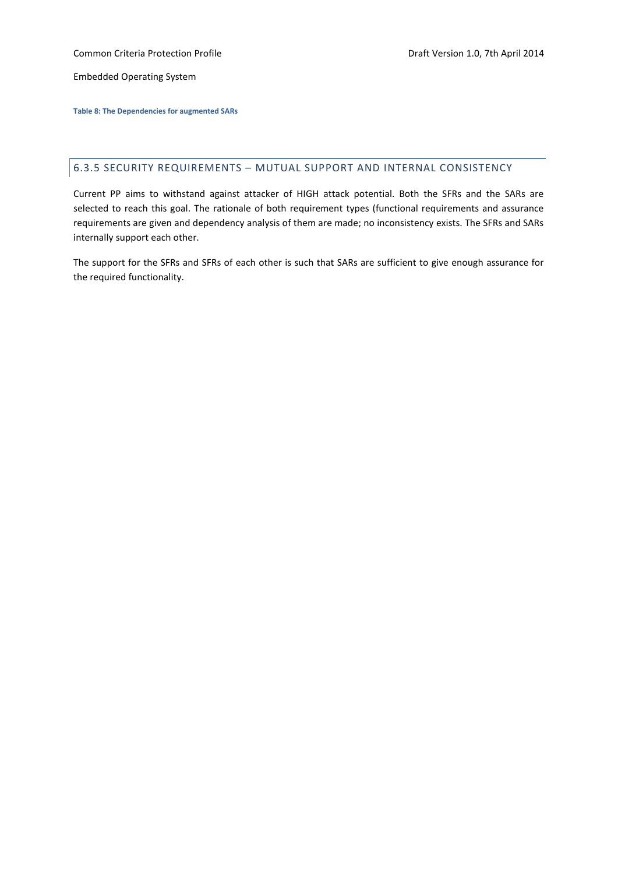Common Criteria Protection Profile **Common Criteria Protection Profile** According Draft Version 1.0, 7th April 2014

Embedded Operating System

<span id="page-48-1"></span>**Table 8: The Dependencies for augmented SARs**

## <span id="page-48-0"></span>6.3.5 SECURITY REQUIREMENTS – MUTUAL SUPPORT AND INTERNAL CONSISTENCY

Current PP aims to withstand against attacker of HIGH attack potential. Both the SFRs and the SARs are selected to reach this goal. The rationale of both requirement types (functional requirements and assurance requirements are given and dependency analysis of them are made; no inconsistency exists. The SFRs and SARs internally support each other.

The support for the SFRs and SFRs of each other is such that SARs are sufficient to give enough assurance for the required functionality.